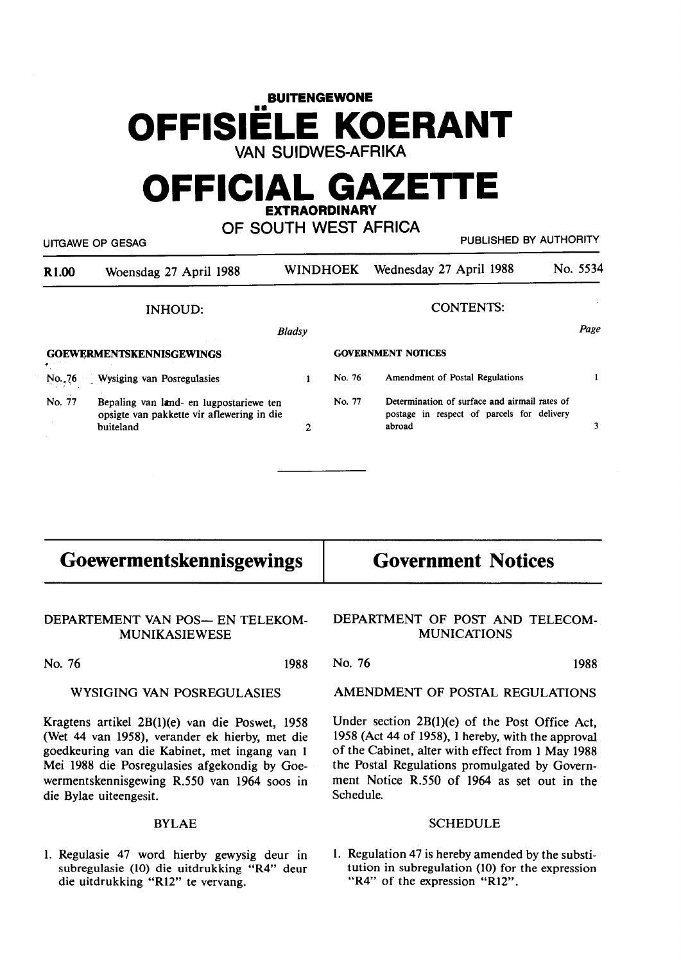# **BUITENGEWONE OFFISIELE KOERANT VAN SUIDWES-AFRIKA**

## **OFFICIAL GAZETIE EXTRAORDINARY**

**OF SOUTH WEST AFRICA** 

UITGAWE OP GESAG **PUBLISHED BY AUTHORITY** 

| R <sub>1.00</sub> | Woensdag 27 April 1988                                                                             |               | WINDHOEK | Wednesday 27 April 1988                                                                               | No. 5534 |
|-------------------|----------------------------------------------------------------------------------------------------|---------------|----------|-------------------------------------------------------------------------------------------------------|----------|
| INHOUD:           |                                                                                                    |               |          | <b>CONTENTS:</b>                                                                                      |          |
|                   |                                                                                                    | <b>Bladsy</b> |          |                                                                                                       | Page     |
|                   | <b>GOEWERMENTSKENNISGEWINGS</b>                                                                    |               |          | <b>GOVERNMENT NOTICES</b>                                                                             |          |
| No.,76            | Wysiging van Posregulasies                                                                         |               | No. 76   | Amendment of Postal Regulations                                                                       |          |
| No. 77            | Bepaling van land- en lugpostariewe ten<br>opsigte van pakkette vir aflewering in die<br>buiteland |               | No. 77   | Determination of surface and airmail rates of<br>postage in respect of parcels for delivery<br>abroad |          |

| <b>Goewermentskennisgewings</b>                | <b>Government Notices</b>                          |
|------------------------------------------------|----------------------------------------------------|
| DEPARTEMENT VAN POS- EN TELEKOM-               | DEPARTMENT OF POST AND TELECOM-                    |
| <b>MUNIKASIEWESE</b>                           | <b>MUNICATIONS</b>                                 |
| No. 76                                         | No. 76                                             |
| 1988                                           | 1988                                               |
| WYSIGING VAN POSREGULASIES                     | AMENDMENT OF POSTAL REGULATIONS                    |
| Kragtens artikel 2B(1)(e) van die Poswet, 1958 | Under section 2B(1)(e) of the Post Office Act,     |
| (Wet 44 van 1958), verander ek hierby, met die | 1958 (Act 44 of 1958), I hereby, with the approval |

goedkeuring van die Kabinet, met ingang van 1 Mei 1988 die Posregulasies afgekondig by Goewermentskennisgewing R.550 van 1964 soos in die Bylae uiteengesit.

## BYLAE

1. Regulasie 47 word hierby gewysig deur in subregulasie (10) die uitdrukking "R4" deur die uitdrukking "R12" te vervang.

1958 (Act 44 of 1958), I hereby, with the approval of the Cabinet, alter with effect from 1 May 1988 the Postal Regulations promulgated by Government Notice R.550 of 1964 as set out in the Schedule.

#### **SCHEDULE**

1. Regulation 47 is hereby amended by the substitution in subregulation (10) for the expression "R4" of the expression "R12".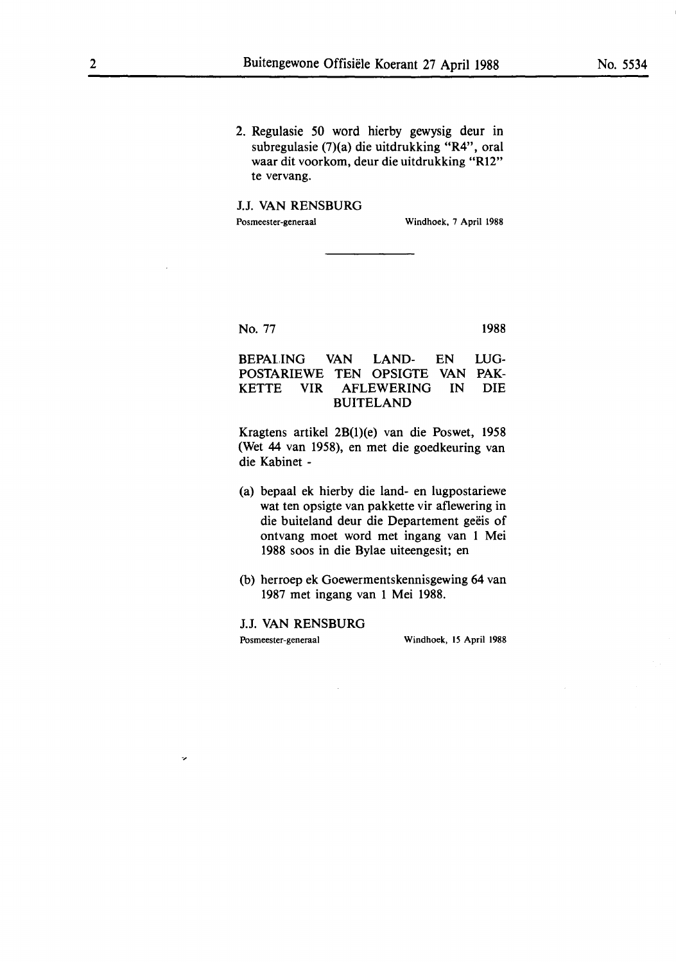2. Regulasie 50 word hierby gewysig deur in subregulasie (7)(a) die uitdrukking **"R4",** oral waar dit voorkom, deur die uitdrukking **"R12"**  te vervang.

#### J.J. **VAN RENSBURG**

Posmeester-generaal Windhoek, 7 April 1988

No. 77

1988

#### BEPALING VAN LAND- EN POSTARIEWE TEN OPSIGTE VAN **PAK-**KETTE VIR AFLEWERING IN BUITELAND LUG-DIE

Kragtens artikel 2B(1)(e) van die Poswet, 1958 (Wet 44 van 1958), en met die goedkeuring van die Kabinet -

- (a) bepaal ek hierby die land- en lugpostariewe wat ten opsigte van pakkette vir aflewering in die buiteland deur die Departement geëis of ontvang moet word met ingang van 1 Mei 1988 soos in die Bylae uiteengesit; en
- (b) herroep ek Goewermentskennisgewing 64 van 1987 met ingang van 1 Mei 1988.

J.J. VAN RENSBURG

 $\ddot{\phantom{0}}$ 

Posmeester-generaal Windhoek, 15 April 1988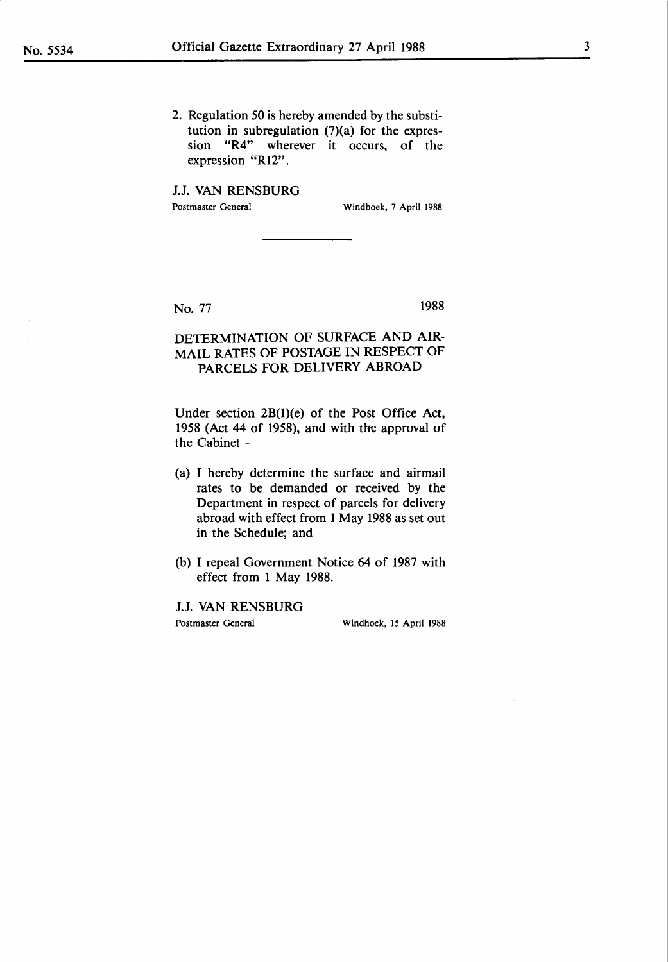2. Regulation 50 is hereby amended by the substitution in subregulation  $(7)(a)$  for the expression "R4" wherever it occurs, of the expression "Rl2".

J.J. VAN RENSBURG Postmaster General Windhoek, 7 April 1988

No. 77 1988

## **DETERMINATION** OF **SURFACE AND AIR-MAIL RATES OF POSTAGE IN RESPECT OF PARCELS FOR DELIVERY ABROAD**

Under section 2B(l)(e) of the Post Office Act, 1958 (Act 44 of 1958), and with the approval of the Cabinet -

- (a) I hereby determine the surface and airmail rates to be demanded or received by the Department in respect of parcels for delivery abroad with effect from 1 May 1988 as set out in the Schedule; and
- (b) I repeal Government Notice 64 of 1987 with effect from 1 May 1988.

J.J. VAN RENSBURG Postmaster General Windhoek, 15 April 1988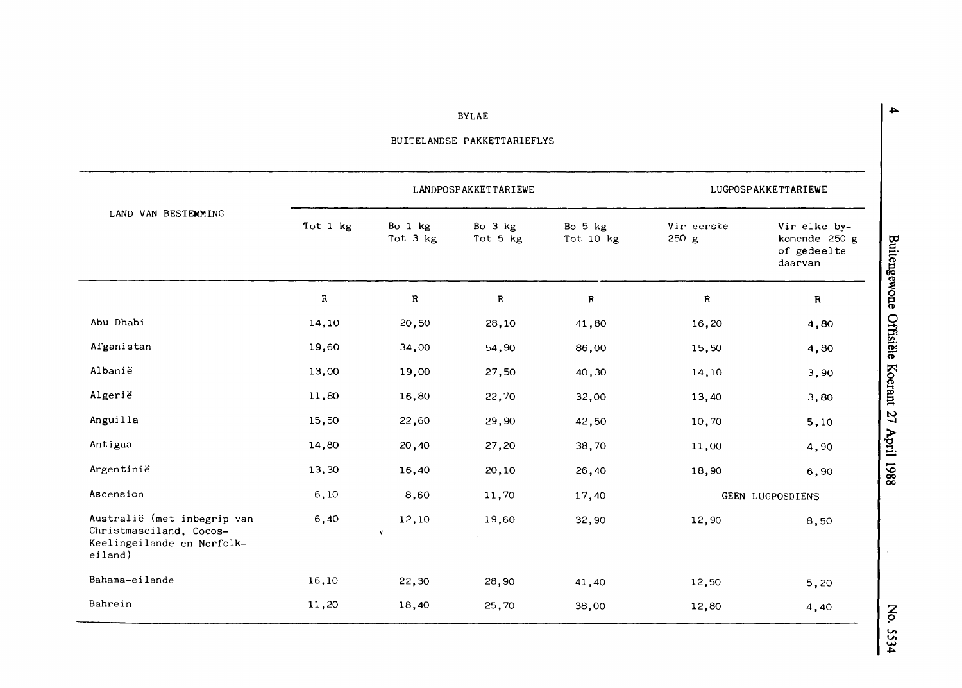**BYLAE** 

|                                                                                                 |             | LANDPOSPAKKETTARIEWE | LUGPOSPAKKETTARIEWE |                      |                     |                                                         |
|-------------------------------------------------------------------------------------------------|-------------|----------------------|---------------------|----------------------|---------------------|---------------------------------------------------------|
| LAND VAN BESTEMMING                                                                             | Tot 1 kg    | Bo 1 kg<br>Tot 3 kg  | Bo 3 kg<br>Tot 5 kg | Bo 5 kg<br>Tot 10 kg | Vir eerste<br>250 g | Vir elke by-<br>komende 250 g<br>of gedeelte<br>daarvan |
|                                                                                                 | $\mathbf R$ | ${\bf R}$            | $\mathbf R$         | $\mathbf R$          | $\mathbf R$         | R                                                       |
| Abu Dhabi                                                                                       | 14,10       | 20,50                | 28,10               | 41,80                | 16,20               | 4,80                                                    |
| Afganistan                                                                                      | 19,60       | 34,00                | 54,90               | 86,00                | 15,50               | 4,80                                                    |
| Albanie                                                                                         | 13,00       | 19,00                | 27,50               | 40,30                | 14,10               | 3,90                                                    |
| Algerië                                                                                         | 11,80       | 16,80                | 22,70               | 32,00                | 13,40               | 3,80                                                    |
| Anguilla                                                                                        | 15,50       | 22,60                | 29,90               | 42,50                | 10,70               | 5,10                                                    |
| Antigua                                                                                         | 14,80       | 20,40                | 27,20               | 38,70                | 11,00               | 4,90                                                    |
| Argentinië                                                                                      | 13,30       | 16,40                | 20,10               | 26,40                | 18,90               | 6,90                                                    |
| Ascension                                                                                       | 6, 10       | 8,60                 | 11,70               | 17,40                |                     | GEEN LUGPOSDIENS                                        |
| Australië (met inbegrip van<br>Christmaseiland, Cocos-<br>Keelingeilande en Norfolk-<br>eiland) | 6,40        | 12,10<br>X.          | 19,60               | 32,90                | 12,90               | 8,50                                                    |
| Bahama-eilande                                                                                  | 16,10       | 22,30                | 28,90               | 41,40                | 12,50               | 5,20                                                    |
| Bahrein                                                                                         | 11,20       | 18,40                | 25,70               | 38,00                | 12,80               | 4,40                                                    |

 $\sim$ 

## BUITELANDSE PAKKETTARIEFLYS

Buitengewone Offisiële Koerant 27 April 1988

No. 5534

 $\blacktriangle$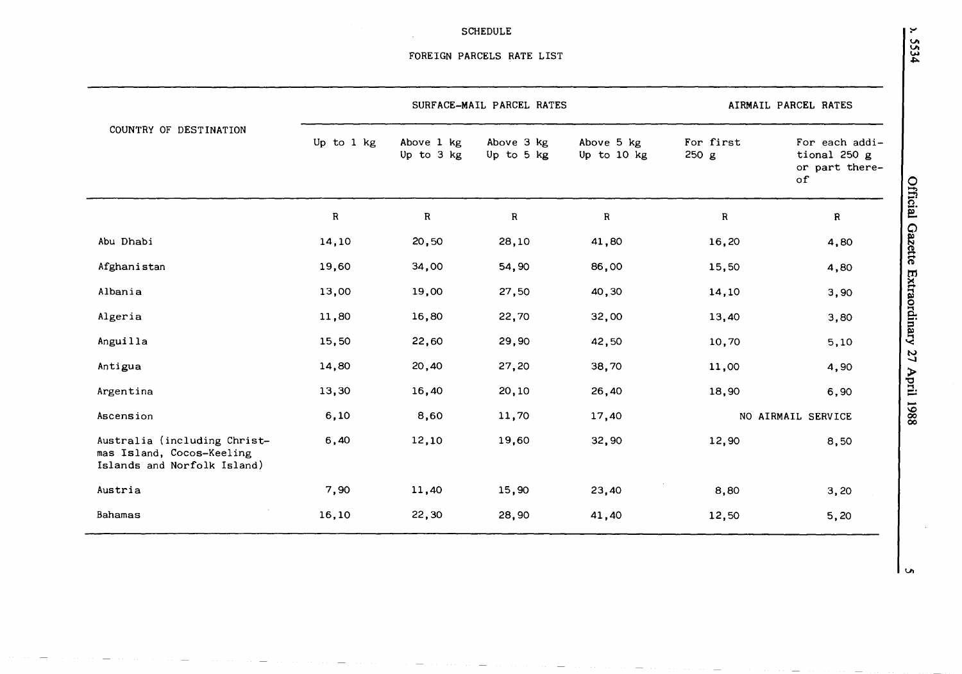### SCHEDULE

|                                                                                          |            |                          | SURFACE-MAIL PARCEL RATES |                           | AIRMAIL PARCEL RATES |                                                        |  |
|------------------------------------------------------------------------------------------|------------|--------------------------|---------------------------|---------------------------|----------------------|--------------------------------------------------------|--|
| COUNTRY OF DESTINATION                                                                   | Up to 1 kg | Above 1 kg<br>Up to 3 kg | Above 3 kg<br>Up to 5 kg  | Above 5 kg<br>Up to 10 kg | For first<br>250 g   | For each addi-<br>tional 250 g<br>or part there-<br>of |  |
|                                                                                          | ${\bf R}$  | ${\bf R}$                | $\mathbf R$               | ${\bf R}$                 | ${\bf R}$            | Official Gazette Extraordinary<br>${\bf R}$            |  |
| Abu Dhabi                                                                                | 14,10      | 20,50                    | 28,10                     | 41,80                     | 16,20                | 4,80                                                   |  |
| Afghanistan                                                                              | 19,60      | 34,00                    | 54,90                     | 86,00                     | 15,50                | 4,80                                                   |  |
| Albania                                                                                  | 13,00      | 19,00                    | 27,50                     | 40,30                     | 14,10                | 3,90                                                   |  |
| Algeria                                                                                  | 11,80      | 16,80                    | 22,70                     | 32,00                     | 13,40                | 3,80                                                   |  |
| Anguilla                                                                                 | 15,50      | 22,60                    | 29,90                     | 42,50                     | 10,70                | 5,10                                                   |  |
| Antigua                                                                                  | 14,80      | 20,40                    | 27,20                     | 38,70                     | 11,00                | 27<br>4,90                                             |  |
| Argentina                                                                                | 13,30      | 16,40                    | 20,10                     | 26,40                     | 18,90                | April<br>6,90                                          |  |
| Ascension                                                                                | 6,10       | 8,60                     | 11,70                     | 17,40                     |                      | 1988<br>NO AIRMAIL SERVICE                             |  |
| Australia (including Christ-<br>mas Island, Cocos-Keeling<br>Islands and Norfolk Island) | 6,40       | 12,10                    | 19,60                     | 32,90                     | 12,90                | 8,50                                                   |  |
| Austria                                                                                  | 7,90       | 11,40                    | 15,90                     | 23,40                     | 8,80                 | 3,20                                                   |  |
| <b>Bahamas</b>                                                                           | 16,10      | 22,30                    | 28,90                     | 41,40                     | 12,50                | 5,20                                                   |  |

**S** 

 $1.5534$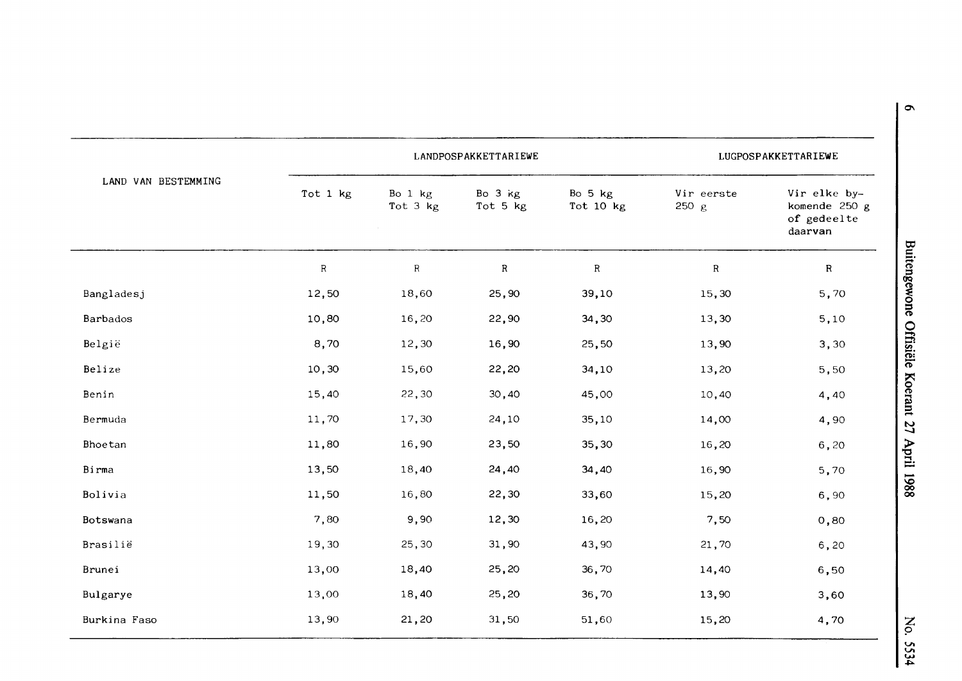|                     |             | LANDPOSPAKKETTARIEWE      | LUGPOSPAKKETTARIEWE |                      |                     |                                                         |
|---------------------|-------------|---------------------------|---------------------|----------------------|---------------------|---------------------------------------------------------|
| LAND VAN BESTEMMING | Tot 1 kg    | Bo $1$ $kg$<br>Tot $3$ kg | Bo 3 kg<br>Tot 5 kg | Bo 5 kg<br>Tot 10 kg | Vir eerste<br>250 g | Vir elke by-<br>komende 250 g<br>of gedeelte<br>daarvan |
|                     | $\mathsf R$ | $\rm R$                   | ${\bf R}$           | ${\bf R}$            | ${\sf R}$           | $\mathbb{R}$                                            |
| Bangladesj          | 12,50       | 18,60                     | 25,90               | 39,10                | 15,30               | 5,70                                                    |
| Barbados            | 10,80       | 16,20                     | 22,90               | 34,30                | 13,30               | 5,10                                                    |
| België              | 8,70        | 12,30                     | 16,90               | 25,50                | 13,90               | 3,30                                                    |
| Belize              | 10,30       | 15,60                     | 22,20               | 34,10                | 13,20               | 5,50                                                    |
| Benin               | 15,40       | 22,30                     | 30,40               | 45,00                | 10,40               | 4,40                                                    |
| Bermuda             | 11,70       | 17,30                     | 24,10               | 35,10                | 14,00               | 4,90                                                    |
| Bhoetan             | 11,80       | 16,90                     | 23,50               | 35,30                | 16,20               | 6,20                                                    |
| Birma               | 13,50       | 18,40                     | 24,40               | 34,40                | 16,90               | 5,70                                                    |
| Bolivia             | 11,50       | 16,80                     | 22,30               | 33,60                | 15,20               | 6,90                                                    |
| Botswana            | 7,80        | 9,90                      | 12,30               | 16,20                | 7,50                | 0,80                                                    |
| Brasilië            | 19,30       | 25,30                     | 31,90               | 43,90                | 21,70               | 6, 20                                                   |
| Brunei              | 13,00       | 18,40                     | 25,20               | 36,70                | 14,40               | 6,50                                                    |
| Bulgarye            | 13,00       | 18,40                     | 25,20               | 36,70                | 13,90               | 3,60                                                    |
| Burkina Faso        | 13,90       | 21,20                     | 31,50               | 51,60                | 15,20               | 4,70                                                    |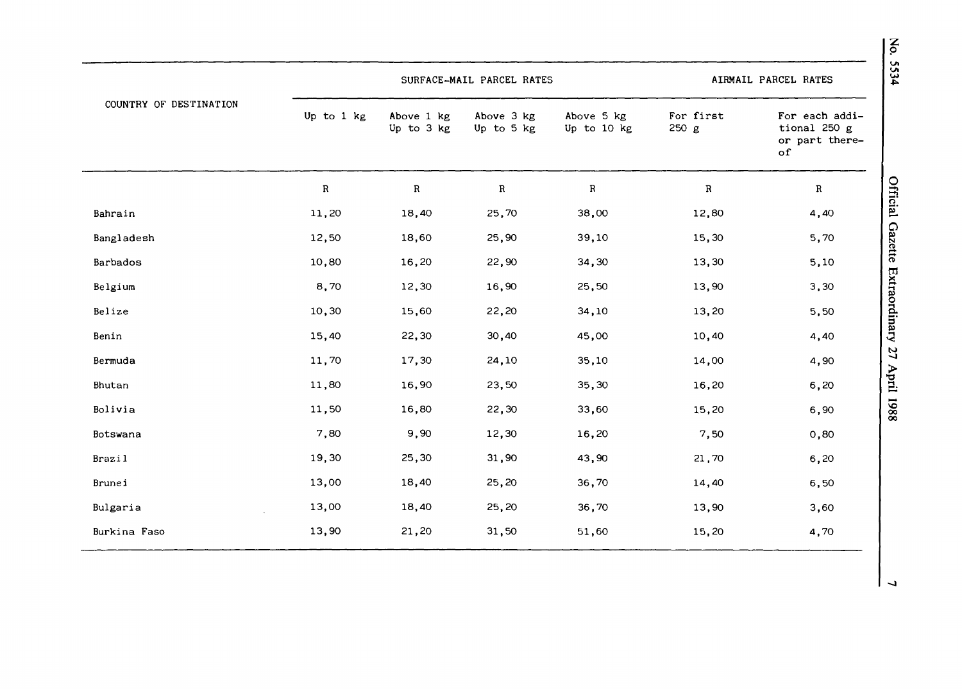|                        |             |                          | SURFACE-MAIL PARCEL RATES |                           |                    | 24<br>AIRMAIL PARCEL RATES                             |
|------------------------|-------------|--------------------------|---------------------------|---------------------------|--------------------|--------------------------------------------------------|
| COUNTRY OF DESTINATION | Up to 1 kg  | Above 1 kg<br>Up to 3 kg | Above 3 kg<br>Up to 5 kg  | Above 5 kg<br>Up to 10 kg | For first<br>250 g | For each addi-<br>tional 250 g<br>or part there-<br>of |
|                        | $\mathbf R$ | ${\bf R}$                | $\mathbf R$               | ${\bf R}$                 | ${\bf R}$          | $\mathbf R$                                            |
| Bahrain                | 11,20       | 18,40                    | 25,70                     | 38,00                     | 12,80              | Official Gazette Extraordinary<br>4,40                 |
| Bangladesh             | 12,50       | 18,60                    | 25,90                     | 39,10                     | 15,30              | 5,70                                                   |
| Barbados               | 10,80       | 16,20                    | 22,90                     | 34,30                     | 13,30              | 5,10                                                   |
| Belgium                | 8,70        | 12,30                    | 16,90                     | 25,50                     | 13,90              | 3,30                                                   |
| Belize                 | 10,30       | 15,60                    | 22,20                     | 34,10                     | 13,20              | 5,50                                                   |
| Benin                  | 15,40       | 22,30                    | 30,40                     | 45,00                     | 10,40              | 4,40                                                   |
| Bermuda                | 11,70       | 17,30                    | 24,10                     | 35,10                     | 14,00              | $\mathfrak{Z}$<br>4,90                                 |
| Bhutan                 | 11,80       | 16,90                    | 23,50                     | 35,30                     | 16,20              | April 1988<br>6,20                                     |
| Bolivia                | 11,50       | 16,80                    | 22,30                     | 33,60                     | 15,20              | 6,90                                                   |
| Botswana               | 7,80        | 9,90                     | 12,30                     | 16,20                     | 7,50               | 0,80                                                   |
| <b>Brazil</b>          | 19,30       | 25,30                    | 31,90                     | 43,90                     | 21,70              | 6,20                                                   |
| Brunei                 | 13,00       | 18,40                    | 25,20                     | 36,70                     | 14,40              | 6,50                                                   |
| Bulgaria               | 13,00       | 18,40                    | 25,20                     | 36,70                     | 13,90              | 3,60                                                   |
| Burkina Faso           | 13,90       | 21,20                    | 31,50                     | 51,60                     | 15,20              | 4,70                                                   |

 $\mathbf{z}$  $\mathbf{v}$  $\overline{4}$ 

J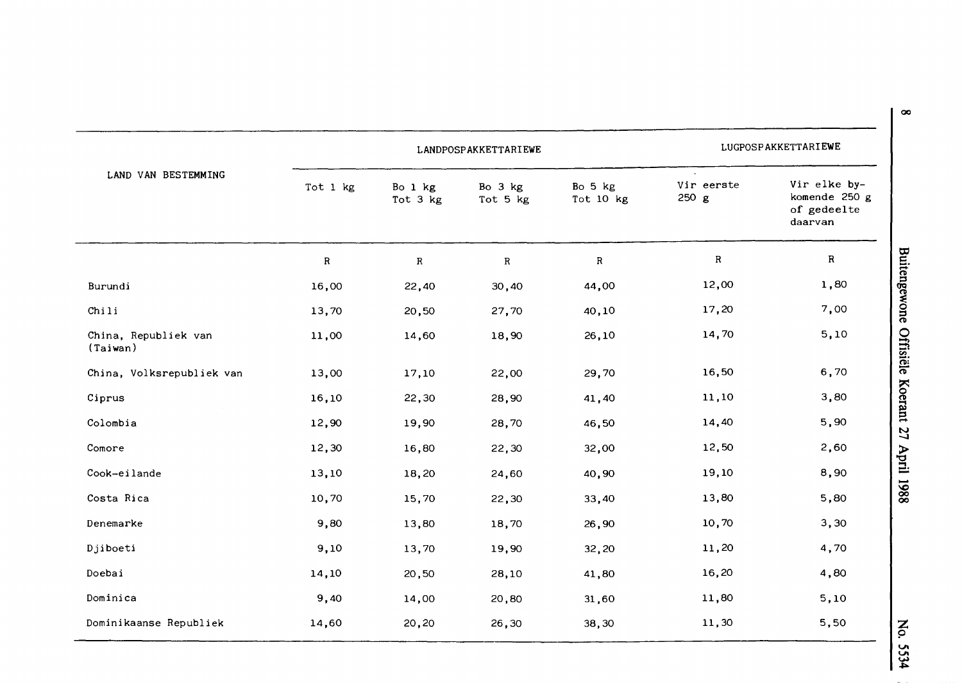| LAND VAN BESTEMMING                       |             | LANDPOSPAKKETTARIEWE | LUGPOSPAKKETTARIEWE |                      |                     |                                                         |
|-------------------------------------------|-------------|----------------------|---------------------|----------------------|---------------------|---------------------------------------------------------|
|                                           | Tot 1 kg    | Bo 1 kg<br>Tot 3 kg  | Bo 3 kg<br>Tot 5 kg | Bo 5 kg<br>Tot 10 kg | Vir eerste<br>250 g | Vir elke by-<br>komende 250 g<br>of gedeelte<br>daarvan |
|                                           | $\mathbf R$ | $\mathbf R$          | $\mathbf R$         | ${\bf R}$            | $\mathbf R$         | $\mathbf R$                                             |
| Burundi                                   | 16,00       | 22,40                | 30,40               | 44,00                | 12,00               | 1,80                                                    |
| Chi                                       | 13,70       | 20,50                | 27,70               | 40,10                | 17,20               | 7,00                                                    |
| China, Republiek van<br>$(\text{Taiwan})$ | 11,00       | 14,60                | 18,90               | 26,10                | 14,70               | 5,10                                                    |
| China, Volksrepubliek van                 | 13,00       | 17,10                | 22,00               | 29,70                | 16,50               | 6,70                                                    |
| Ciprus                                    | 16,10       | 22,30                | 28,90               | 41,40                | 11,10               | 3,80                                                    |
| Colombia                                  | 12,90       | 19,90                | 28,70               | 46,50                | 14,40               | 5,90                                                    |
| Comore                                    | 12,30       | 16,80                | 22,30               | 32,00                | 12,50               | 2,60                                                    |
| Cook-eilande                              | 13,10       | 18,20                | 24,60               | 40,90                | 19,10               | 8,90                                                    |
| Costa Rica                                | 10,70       | 15,70                | 22,30               | 33,40                | 13,80               | 5,80                                                    |
| Denemarke                                 | 9,80        | 13,80                | 18,70               | 26,90                | 10,70               | 3,30                                                    |
| Djiboeti                                  | 9,10        | 13,70                | 19,90               | 32,20                | 11,20               | 4,70                                                    |
| Doebai                                    | 14,10       | 20,50                | 28,10               | 41,80                | 16,20               | 4,80                                                    |
| Dominica                                  | 9,40        | 14,00                | 20,80               | 31,60                | 11,80               | 5,10                                                    |
| Dominikaanse Republiek                    | 14,60       | 20,20                | 26,30               | 38,30                | 11,30               | 5,50                                                    |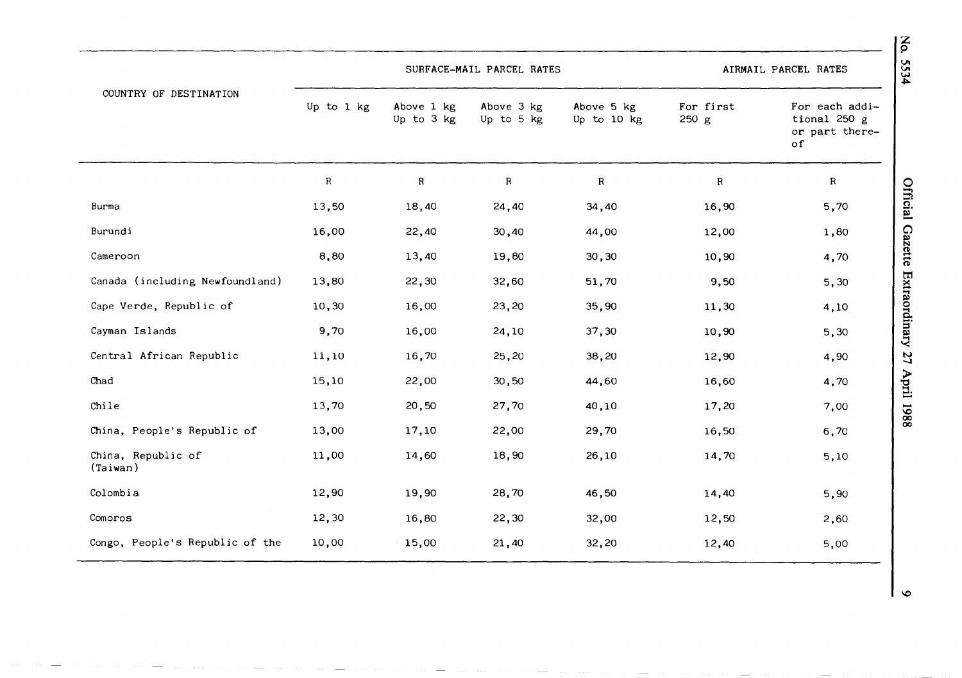|                                 |            |                          | SURFACE-MAIL PARCEL RATES |                           | AIRMAIL PARCEL RATES |                                                               |  |
|---------------------------------|------------|--------------------------|---------------------------|---------------------------|----------------------|---------------------------------------------------------------|--|
| COUNTRY OF DESTINATION          | Up to 1 kg | Above 1 kg<br>Up to 3 kg | Above 3 kg<br>Up to 5 kg  | Above 5 kg<br>Up to 10 kg | For first<br>250 g   | For each addi-<br>tional 250 g<br>or part there-<br>$\circ$ f |  |
|                                 | ${\sf R}$  | $\, {\bf R}$             | ${\bf R}$                 | ${\bf R}$                 | $\mathbf R$          | $\mathbf R$                                                   |  |
| Burma                           | 13,50      | 18,40                    | 24,40                     | 34,40                     | 16,90                | Official Gazette<br>5,70                                      |  |
| Burundi                         | 16,00      | 22,40                    | 30,40                     | 44,00                     | 12,00                | 1,80                                                          |  |
| Cameroon                        | 8,80       | 13,40                    | 19,80                     | 30,30                     | 10,90                | 4,70                                                          |  |
| Canada (including Newfoundland) | 13,80      | 22,30                    | 32,60                     | 51,70                     | 9,50                 | Extraordinary<br>5,30                                         |  |
| Cape Verde, Republic of         | 10,30      | 16,00                    | 23,20                     | 35,90                     | 11,30                | 4,10                                                          |  |
| Cayman Islands                  | 9,70       | 16,00                    | 24,10                     | 37,30                     | 10,90                | 5,30                                                          |  |
| Central African Republic        | 11,10      | 16,70                    | 25,20                     | 38,20                     | 12,90                | $\mathfrak{c}$<br>4,90                                        |  |
| Chad                            | 15,10      | 22,00                    | 30,50                     | 44,60                     | 16,60                | April 1988<br>4,70                                            |  |
| Chile                           | 13,70      | 20,50                    | 27,70                     | 40,10                     | 17,20                | 7,00                                                          |  |
| China, People's Republic of     | 13,00      | 17,10                    | 22,00                     | 29,70                     | 16,50                | 6,70                                                          |  |
| China, Republic of<br>(Taiwan)  | 11,00      | 14,60                    | 18,90                     | 26,10                     | 14,70                | 5,10                                                          |  |
| Colombia                        | 12,90      | 19,90                    | 28,70                     | 46,50                     | 14,40                | 5,90                                                          |  |
| Comoros                         | 12,30      | 16,80                    | 22,30                     | 32,00                     | 12,50                | 2,60                                                          |  |
| Congo, People's Republic of the | 10,00      | 15,00                    | 21,40                     | 32,20                     | 12,40                | 5,00                                                          |  |

**z**  p **VI** 

 $\bullet$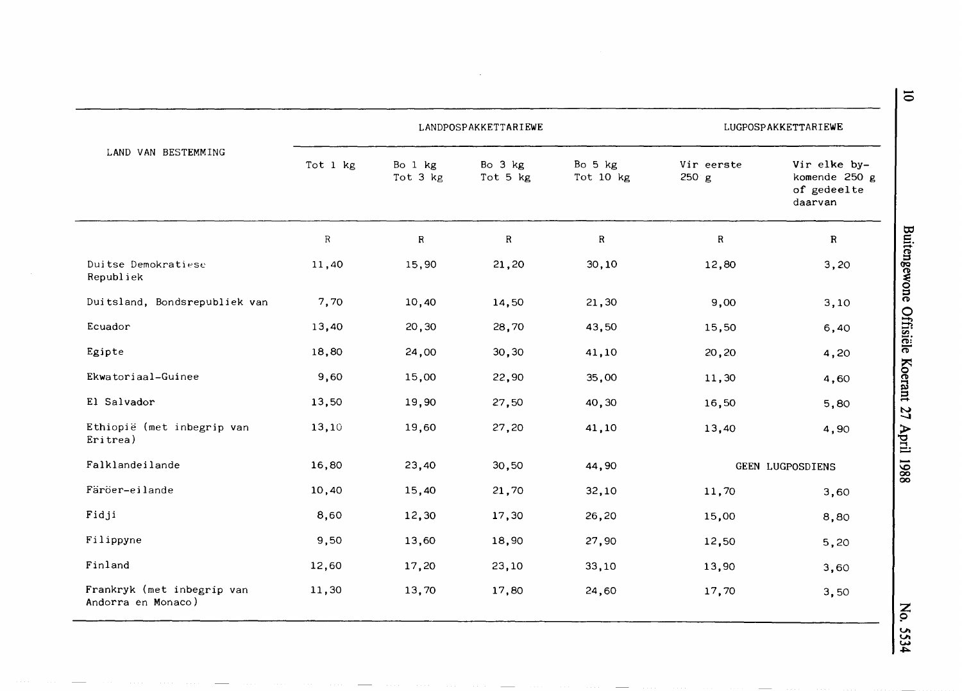|                                                  |              | LANDPOSPAKKETTARIEWE | LUGPOSPAKKETTARIEWE |                      |                     |                                                         |
|--------------------------------------------------|--------------|----------------------|---------------------|----------------------|---------------------|---------------------------------------------------------|
| LAND VAN BESTEMMING                              | Tot 1 kg     | Bo 1 kg<br>Tot 3 kg  | Bo 3 kg<br>Tot 5 kg | Bo 5 kg<br>Tot 10 kg | Vir eerste<br>250 g | Vir elke by-<br>komende 250 g<br>of gedeelte<br>daarvan |
|                                                  | $\mathbb{R}$ | R                    | R                   | R                    | R                   | $\mathbf R$                                             |
| Duitse Demokratiese<br>Republiek                 | 11,40        | 15,90                | 21,20               | 30, 10               | 12,80               | 3,20                                                    |
| Duitsland, Bondsrepubliek van                    | 7,70         | 10,40                | 14,50               | 21,30                | 9,00                | 3,10                                                    |
| Ecuador                                          | 13,40        | 20,30                | 28,70               | 43,50                | 15,50               | 6,40                                                    |
| Egipte                                           | 18,80        | 24,00                | 30, 30              | 41,10                | 20,20               | 4,20                                                    |
| Ekwatoriaal-Guinee                               | 9,60         | 15,00                | 22,90               | 35,00                | 11,30               | 4,60                                                    |
| El Salvador                                      | 13,50        | 19,90                | 27,50               | 40,30                | 16,50               | 5,80                                                    |
| Ethiopië (met inbegrip van<br>Eritrea)           | 13,10        | 19,60                | 27,20               | 41,10                | 13,40               | 4,90                                                    |
| Falklandeilande                                  | 16,80        | 23,40                | 30,50               | 44,90                |                     | GEEN LUGPOSDIENS                                        |
| Färöer-eilande                                   | 10,40        | 15,40                | 21,70               | 32,10                | 11,70               | 3,60                                                    |
| Fidji                                            | 8,60         | 12,30                | 17,30               | 26,20                | 15,00               | 8,80                                                    |
| Filippyne                                        | 9,50         | 13,60                | 18,90               | 27,90                | 12,50               | 5,20                                                    |
| Finland                                          | 12,60        | 17,20                | 23,10               | 33,10                | 13,90               | 3,60                                                    |
| Frankryk (met inbegrip van<br>Andorra en Monaco) | 11,30        | 13,70                | 17,80               | 24,60                | 17,70               | 3,50                                                    |

No. 5534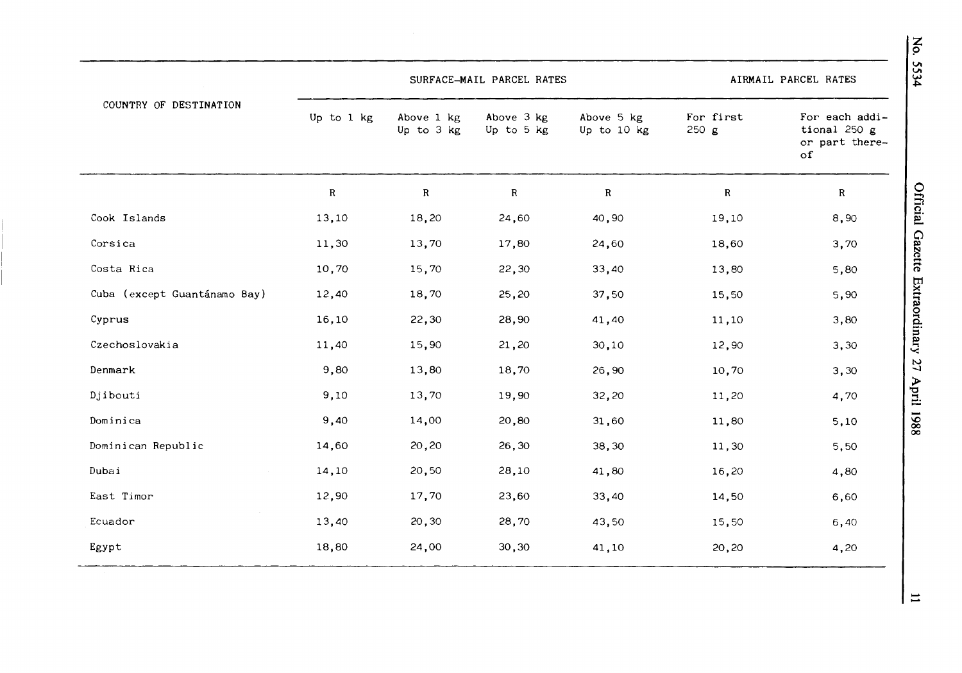|                              |            | SURFACE-MAIL PARCEL RATES |                          | AIRMAIL PARCEL RATES      |                   |                                                               |
|------------------------------|------------|---------------------------|--------------------------|---------------------------|-------------------|---------------------------------------------------------------|
| COUNTRY OF DESTINATION       | Up to 1 kg | Above 1 kg<br>Up to 3 kg  | Above 3 kg<br>Up to 5 kg | Above 5 kg<br>Up to 10 kg | For first<br>250g | For each addi-<br>tional 250 g<br>or part there-<br>$\circ$ f |
|                              | ${\bf R}$  | $\mathbf R$               | $\mathbf R$              | ${\bf R}$                 | ${\bf R}$         | $\mathbf R$                                                   |
| Cook Islands                 | 13,10      | 18,20                     | 24,60                    | 40,90                     | 19,10             | 8,90                                                          |
| Corsica                      | 11,30      | 13,70                     | 17,80                    | 24,60                     | 18,60             | 3,70                                                          |
| Costa Rica                   | 10,70      | 15,70                     | 22,30                    | 33,40                     | 13,80             | 5,80                                                          |
| Cuba (except Guantánamo Bay) | 12,40      | 18,70                     | 25,20                    | 37,50                     | 15,50             | 5,90                                                          |
| Cyprus                       | 16,10      | 22,30                     | 28,90                    | 41,40                     | 11,10             | 3,80                                                          |
| Czechoslovakia               | 11,40      | 15,90                     | 21,20                    | 30,10                     | 12,90             | 3,30                                                          |
| Denmark                      | 9,80       | 13,80                     | 18,70                    | 26,90                     | 10,70             | 3,30                                                          |
| Djibouti                     | 9,10       | 13,70                     | 19,90                    | 32,20                     | 11,20             | 4,70                                                          |
| Dominica                     | 9,40       | 14,00                     | 20,80                    | 31,60                     | 11,80             | 5,10                                                          |
| Dominican Republic           | 14,60      | 20,20                     | 26,30                    | 38,30                     | 11,30             | 5,50                                                          |
| Dubai                        | 14,10      | 20,50                     | 28,10                    | 41,80                     | 16,20             | 4,80                                                          |
| East Timor                   | 12,90      | 17,70                     | 23,60                    | 33,40                     | 14,50             | 6,60                                                          |
| Ecuador                      | 13,40      | 20,30                     | 28,70                    | 43,50                     | 15,50             | 6,40                                                          |
| Egypt                        | 18,80      | 24,00                     | 30,30                    | 41,10                     | 20,20             | 4,20                                                          |

No. 5534

Official Gazette Extraordinary 27 April 1988

 $\Xi$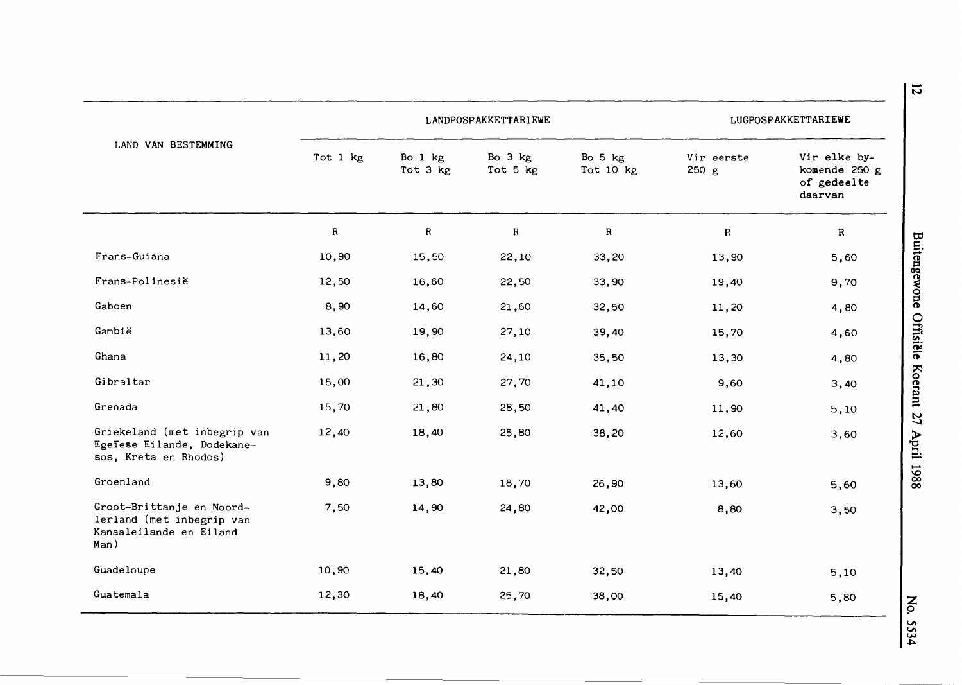|                                                                                           |              | LANDPOSPAKKETTARIEWE | LUGPOSPAKKETTARIEWE |                      |                     |                                                         |
|-------------------------------------------------------------------------------------------|--------------|----------------------|---------------------|----------------------|---------------------|---------------------------------------------------------|
| LAND VAN BESTEMMING                                                                       | Tot 1 kg     | Bo 1 kg<br>Tot 3 kg  | Bo 3 kg<br>Tot 5 kg | Bo 5 kg<br>Tot 10 kg | Vir eerste<br>250 g | Vir elke by-<br>komende 250 g<br>of gedeelte<br>daarvan |
|                                                                                           | $\mathbb{R}$ | $\mathbf{R}$         | $\mathbf R$         | $\mathbf R$          | $\mathbb{R}$        | R                                                       |
| Frans-Guiana                                                                              | 10,90        | 15,50                | 22,10               | 33,20                | 13,90               | 5,60                                                    |
| Frans-Polinesië                                                                           | 12,50        | 16,60                | 22,50               | 33,90                | 19,40               | 9,70                                                    |
| Gaboen                                                                                    | 8,90         | 14,60                | 21,60               | 32,50                | 11,20               | 4,80                                                    |
| Gambië                                                                                    | 13,60        | 19,90                | 27,10               | 39,40                | 15,70               | 4,60                                                    |
| Ghana                                                                                     | 11,20        | 16,80                | 24,10               | 35,50                | 13,30               | 4,80                                                    |
| Gibraltar                                                                                 | 15,00        | 21,30                | 27,70               | 41,10                | 9,60                | 3,40                                                    |
| Grenada                                                                                   | 15,70        | 21,80                | 28,50               | 41,40                | 11,90               | 5,10                                                    |
| Griekeland (met inbegrip van<br>Egeïese Eilande, Dodekane-<br>sos, Kreta en Rhodos)       | 12,40        | 18,40                | 25,80               | 38,20                | 12,60               | 3,60                                                    |
| Groenland                                                                                 | 9,80         | 13,80                | 18,70               | 26,90                | 13,60               | 5,60                                                    |
| Groot-Brittanje en Noord-<br>Ierland (met inbegrip van<br>Kanaaleilande en Eiland<br>Man) | 7,50         | 14,90                | 24,80               | 42,00                | 8,80                | 3,50                                                    |
| Guadeloupe                                                                                | 10,90        | 15,40                | 21,80               | 32,50                | 13,40               | 5,10                                                    |
| Guatemala                                                                                 | 12,30        | 18,40                | 25,70               | 38,00                | 15,40               | 5,80                                                    |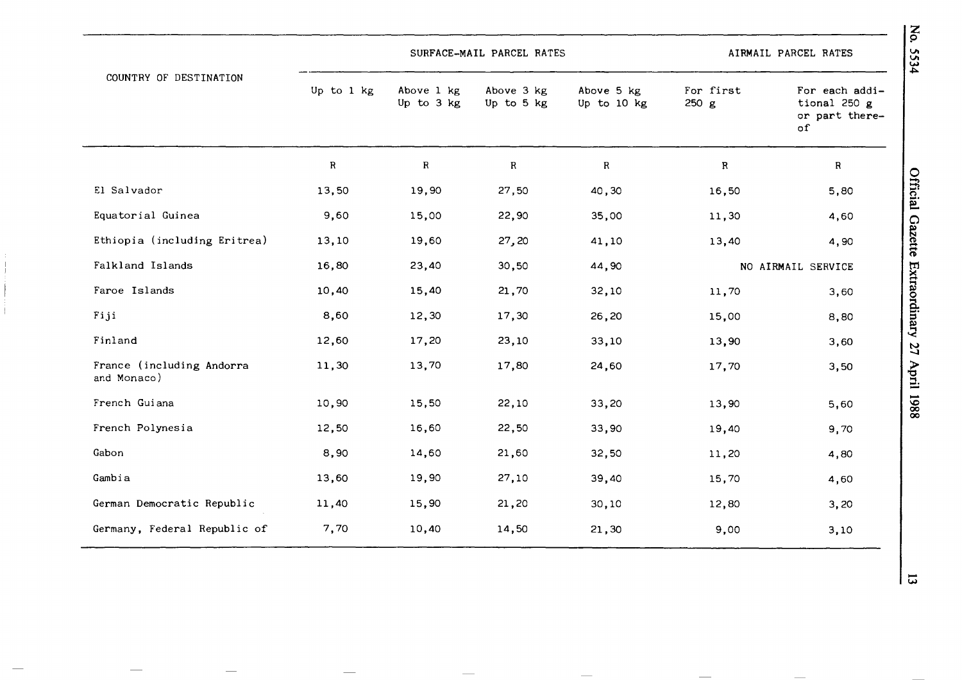|                                          |            |                          | SURFACE-MAIL PARCEL RATES |                           | AIRMAIL PARCEL RATES |                                                        |  |
|------------------------------------------|------------|--------------------------|---------------------------|---------------------------|----------------------|--------------------------------------------------------|--|
| COUNTRY OF DESTINATION                   | Up to 1 kg | Above 1 kg<br>Up to 3 kg | Above 3 kg<br>Up to 5 kg  | Above 5 kg<br>Up to 10 kg | For first<br>250 g   | For each addi-<br>tional 250 g<br>or part there-<br>of |  |
|                                          | ${\sf R}$  | $\, {\bf R}$             | ${\bf R}$                 | ${\bf R}$                 | $\mathbf R$          | R                                                      |  |
| El Salvador                              | 13,50      | 19,90                    | 27,50                     | 40,30                     | 16,50                | 5,80                                                   |  |
| Equatorial Guinea                        | 9,60       | 15,00                    | 22,90                     | 35,00                     | 11,30                | 4,60                                                   |  |
| Ethiopia (including Eritrea)             | 13,10      | 19,60                    | 27,20                     | 41,10                     | 13,40                | 4,90                                                   |  |
| Falkland Islands                         | 16,80      | 23,40                    | 30,50                     | 44,90                     | NO AIRMAIL SERVICE   |                                                        |  |
| Faroe Islands                            | 10,40      | 15,40                    | 21,70                     | 32,10                     | 11,70                | 3,60                                                   |  |
| Fiji                                     | 8,60       | 12,30                    | 17,30                     | 26,20                     | 15,00                | 8,80                                                   |  |
| Finland                                  | 12,60      | 17,20                    | 23,10                     | 33,10                     | 13,90                | 3,60                                                   |  |
| France (including Andorra<br>and Monaco) | 11,30      | 13,70                    | 17,80                     | 24,60                     | 17,70                | 3,50                                                   |  |
| French Guiana                            | 10,90      | 15,50                    | 22,10                     | 33,20                     | 13,90                | 5,60                                                   |  |
| French Polynesia                         | 12,50      | 16,60                    | 22,50                     | 33,90                     | 19,40                | 9,70                                                   |  |
| Gabon                                    | 8,90       | 14,60                    | 21,60                     | 32,50                     | 11,20                | 4,80                                                   |  |
| Gambia                                   | 13,60      | 19,90                    | 27,10                     | 39,40                     | 15,70                | 4,60                                                   |  |
| German Democratic Republic               | 11,40      | 15,90                    | 21,20                     | 30,10                     | 12,80                | 3,20                                                   |  |
| Germany, Federal Republic of             | 7,70       | 10,40                    | 14,50                     | 21,30                     | 9,00                 | 3,10                                                   |  |

Official Gazette Extraordinary 27 April 1988

No. 5534

 $\overline{\omega}$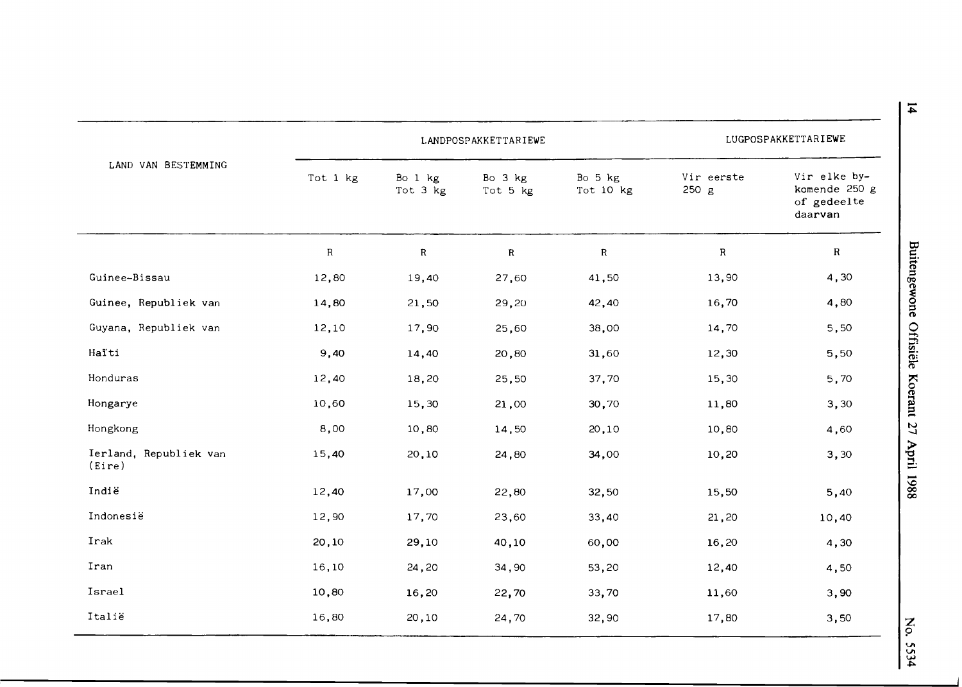|                                  |             | LANDPOSPAKKETTARIEWE | LUGPOSPAKKETTARIEWE |                      |                     |                                                         |
|----------------------------------|-------------|----------------------|---------------------|----------------------|---------------------|---------------------------------------------------------|
| LAND VAN BESTEMMING              | Tot 1 kg    | Bo 1 kg<br>Tot 3 kg  | Bo 3 kg<br>Tot 5 kg | Bo 5 kg<br>Tot 10 kg | Vir eerste<br>250 g | Vir elke by-<br>komende 250 g<br>of gedeelte<br>daarvan |
|                                  | $\mathbf R$ | $\mathbf R$          | $\mathbf R$         | $\mathbf R$          | ${\bf R}$           | $\mathbf R$                                             |
| Guinee-Bissau                    | 12,80       | 19,40                | 27,60               | 41,50                | 13,90               | 4,30                                                    |
| Guinee, Republiek van            | 14,80       | 21,50                | 29,20               | 42,40                | 16,70               | 4,80                                                    |
| Guyana, Republiek van            | 12,10       | 17,90                | 25,60               | 38,00                | 14,70               | 5,50                                                    |
| Haïti                            | 9,40        | 14,40                | 20,80               | 31,60                | 12,30               | 5,50                                                    |
| Honduras                         | 12,40       | 18,20                | 25,50               | 37,70                | 15,30               | 5,70                                                    |
| Hongarye                         | 10,60       | 15,30                | 21,00               | 30,70                | 11,80               | 3,30                                                    |
| Hongkong                         | 8,00        | 10,80                | 14,50               | 20,10                | 10,80               | 4,60                                                    |
| Ierland, Republiek van<br>(Eire) | 15,40       | 20,10                | 24,80               | 34,00                | 10,20               | 3,30                                                    |
| Indië                            | 12,40       | 17,00                | 22,80               | 32,50                | 15,50               | 5,40                                                    |
| Indonesië                        | 12,90       | 17,70                | 23,60               | 33,40                | 21,20               | 10,40                                                   |
| Irak                             | 20,10       | 29,10                | 40,10               | 60,00                | 16,20               | 4,30                                                    |
| Iran                             | 16,10       | 24,20                | 34,90               | 53,20                | 12,40               | 4,50                                                    |
| Israel                           | 10,80       | 16,20                | 22,70               | 33,70                | 11,60               | 3,90                                                    |
| Italië                           | 16,80       | 20,10                | 24,70               | 32,90                | 17,80               | 3,50                                                    |

 $\overline{\phantom{a}}$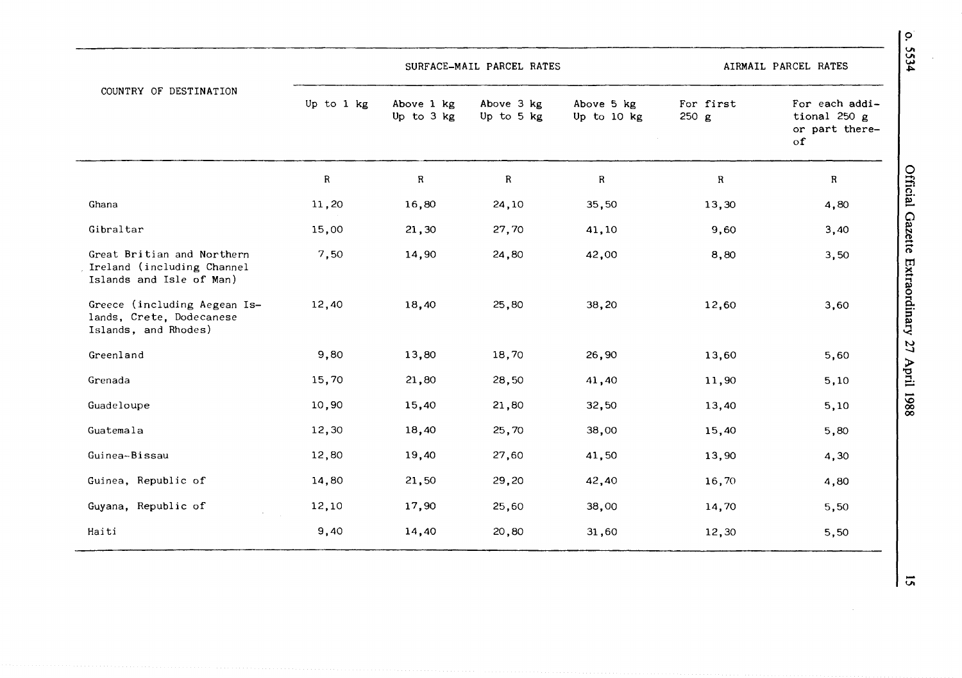|                                                                                      |             | SURFACE-MAIL PARCEL RATES | AIRMAIL PARCEL RATES     |                           |                    |                                                               |
|--------------------------------------------------------------------------------------|-------------|---------------------------|--------------------------|---------------------------|--------------------|---------------------------------------------------------------|
| COUNTRY OF DESTINATION                                                               | Up to 1 kg  | Above 1 kg<br>Up to 3 kg  | Above 3 kg<br>Up to 5 kg | Above 5 kg<br>Up to 10 kg | For first<br>250 g | For each addi-<br>tional 250 g<br>or part there-<br>$\circ$ f |
|                                                                                      | $\mathbf R$ | ${\sf R}$                 | $\mathbf R$              | $\mathbf R$               | $\mathbf R$        | $\mathbf R$                                                   |
| Ghana                                                                                | 11,20       | 16,80                     | 24,10                    | 35,50                     | 13,30              | 4,80                                                          |
| Gibraltar                                                                            | 15,00       | 21,30                     | 27,70                    | 41,10                     | 9,60               | 3,40                                                          |
| Great Britian and Northern<br>Ireland (including Channel<br>Islands and Isle of Man) | 7,50        | 14,90                     | 24,80                    | 42,00                     | 8,80               | 3,50                                                          |
| Greece (including Aegean Is-<br>lands, Crete, Dodecanese<br>Islands, and Rhodes)     | 12,40       | 18,40                     | 25,80                    | 38,20                     | 12,60              | 3,60                                                          |
| Greenland                                                                            | 9,80        | 13,80                     | 18,70                    | 26,90                     | 13,60              | 5,60                                                          |
| Grenada                                                                              | 15,70       | 21,80                     | 28,50                    | 41,40                     | 11,90              | 5,10                                                          |
| Guadeloupe                                                                           | 10,90       | 15,40                     | 21,80                    | 32,50                     | 13,40              | 5,10                                                          |
| Guatemala                                                                            | 12,30       | 18,40                     | 25,70                    | 38,00                     | 15,40              | 5,80                                                          |
| Guinea-Bissau                                                                        | 12,80       | 19,40                     | 27,60                    | 41,50                     | 13,90              | 4,30                                                          |
| Guinea, Republic of                                                                  | 14,80       | 21,50                     | 29,20                    | 42,40                     | 16,70              | 4,80                                                          |
| Guyana, Republic of                                                                  | 12,10       | 17,90                     | 25,60                    | 38,00                     | 14,70              | 5,50                                                          |
| Haiti                                                                                | 9,40        | 14,40                     | 20,80                    | 31,60                     | 12,30              | 5,50                                                          |

 $|\vec{a}|$ 

 $\bar{z}$ 

 $\frac{0.5534}{5534}$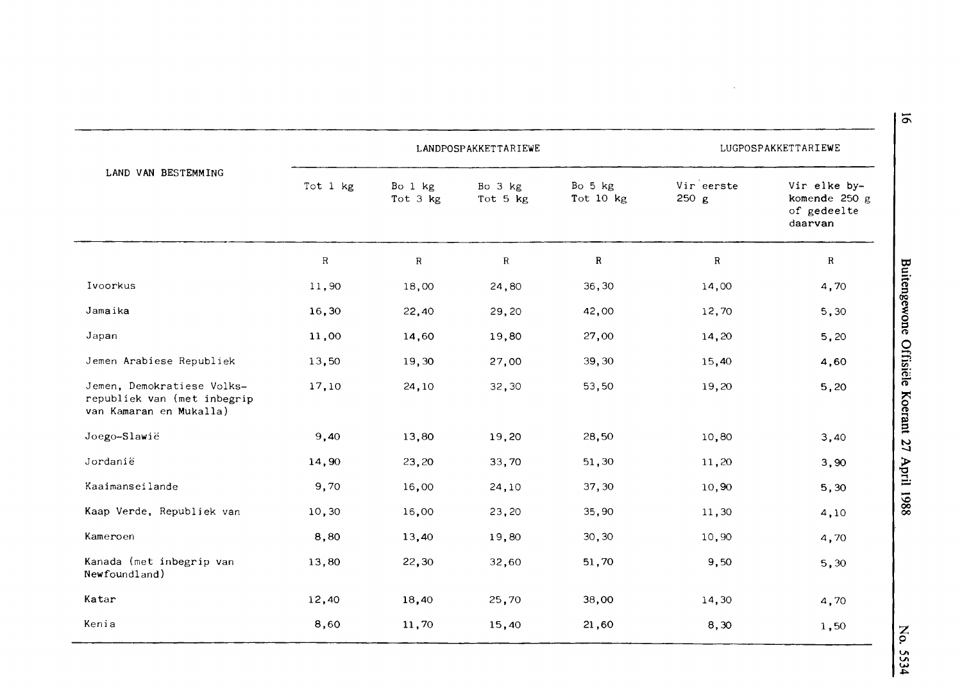|                                                                                      |              |                     | LANDPOSPAKKETTARIEWE |                        |                    | LUGPOSPAKKETTARIEWE                                     |
|--------------------------------------------------------------------------------------|--------------|---------------------|----------------------|------------------------|--------------------|---------------------------------------------------------|
| LAND VAN BESTEMMING                                                                  | Tot 1 kg     | Bo 1 kg<br>Tot 3 kg | Bo 3 kg<br>Tot 5 kg  | Bo 5 kg<br>Tot $10$ kg | Vireerste<br>250 g | Vir elke by-<br>komende 250 g<br>of gedeelte<br>daarvan |
|                                                                                      | $\mathsf{R}$ | $\mathbb{R}$        | $\mathbf R$          | ${\bf R}$              | $\mathbf R$        | $\mathbb{R}$                                            |
| Ivoorkus                                                                             | 11,90        | 18,00               | 24,80                | 36,30                  | 14,00              | 4,70                                                    |
| Jamaika                                                                              | 16,30        | 22,40               | 29,20                | 42,00                  | 12,70              | 5,30                                                    |
| Japan                                                                                | 11,00        | 14,60               | 19,80                | 27,00                  | 14,20              | 5,20                                                    |
| Jemen Arabiese Republiek                                                             | 13,50        | 19,30               | 27,00                | 39,30                  | 15,40              | 4,60                                                    |
| Jemen, Demokratiese Volks-<br>republiek van (met inbegrip<br>van Kamaran en Mukalla) | 17,10        | 24,10               | 32,30                | 53,50                  | 19,20              | 5,20                                                    |
| Joego-Slawië                                                                         | 9,40         | 13,80               | 19,20                | 28,50                  | 10,80              | 3,40                                                    |
| Jordanië                                                                             | 14,90        | 23,20               | 33,70                | 51,30                  | 11,20              | 3,90                                                    |
| Kaaimanseilande                                                                      | 9,70         | 16,00               | 24,10                | 37,30                  | 10,90              | 5,30                                                    |
| Kaap Verde, Republiek van                                                            | 10, 30       | 16,00               | 23,20                | 35,90                  | 11,30              | 4,10                                                    |
| Kameroen                                                                             | 8,80         | 13,40               | 19,80                | 30,30                  | 10,90              | 4,70                                                    |
| Kanada (met inbegrip van<br>Newfoundland)                                            | 13,80        | 22,30               | 32,60                | 51,70                  | 9,50               | 5,30                                                    |
| Katar                                                                                | 12,40        | 18,40               | 25,70                | 38,00                  | 14,30              | 4,70                                                    |
| Kenia                                                                                | 8,60         | 11,70               | 15,40                | 21,60                  | 8,30               | 1,50                                                    |

<sup>91</sup>

 $\sim$ 

 $\tilde{\circ}$ **VI VI w**  ~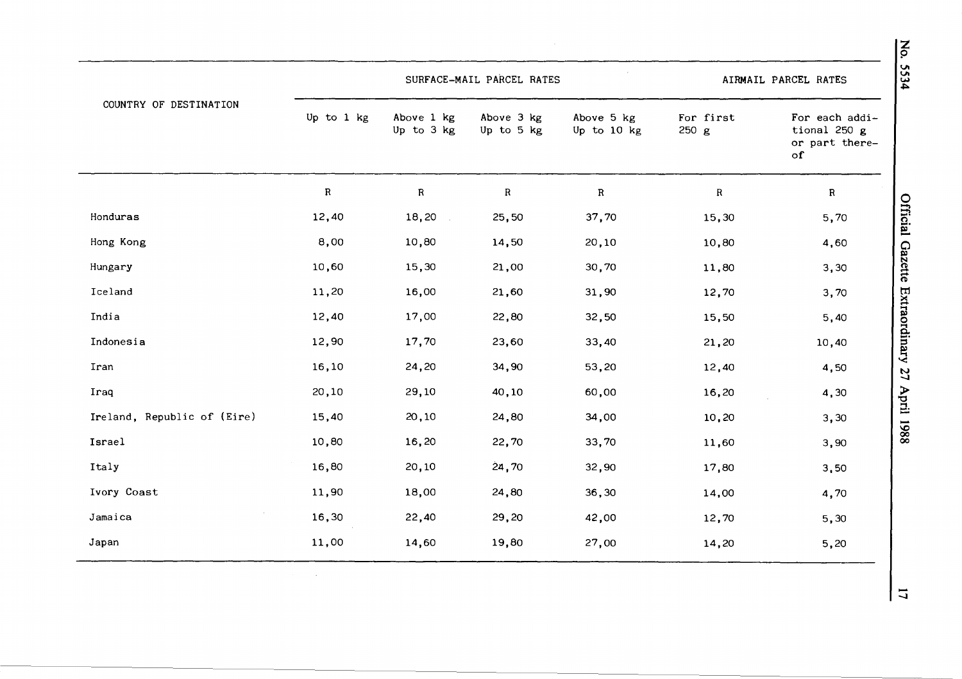|                             |             | SURFACE-MAIL PARCEL RATES | AIRMAIL PARCEL RATES     |                           |                    |                                                               |
|-----------------------------|-------------|---------------------------|--------------------------|---------------------------|--------------------|---------------------------------------------------------------|
| COUNTRY OF DESTINATION      | Up to 1 kg  | Above 1 kg<br>Up to 3 kg  | Above 3 kg<br>Up to 5 kg | Above 5 kg<br>Up to 10 kg | For first<br>250 g | For each addi-<br>tional 250 g<br>or part there-<br>$\circ$ f |
|                             | $\mathbf R$ | $\mathsf{R}$              | $\mathbf{R}$             | $\mathbf R$               | $\mathbf{R}$       | $\mathbf R$                                                   |
| Honduras                    | 12,40       | 18,20                     | 25,50                    | 37,70                     | 15,30              | 5,70                                                          |
| Hong Kong                   | 8,00        | 10,80                     | 14,50                    | 20,10                     | 10,80              | 4,60                                                          |
| Hungary                     | 10,60       | 15,30                     | 21,00                    | 30,70                     | 11,80              | 3,30                                                          |
| Iceland                     | 11,20       | 16,00                     | 21,60                    | 31,90                     | 12,70              | 3,70                                                          |
| India                       | 12,40       | 17,00                     | 22,80                    | 32,50                     | 15,50              | 5,40                                                          |
| Indonesia                   | 12,90       | 17,70                     | 23,60                    | 33,40                     | 21,20              | 10,40                                                         |
| Iran                        | 16,10       | 24,20                     | 34,90                    | 53,20                     | 12,40              | 4,50                                                          |
| Iraq                        | 20,10       | 29,10                     | 40,10                    | 60,00                     | 16,20              | 4,30                                                          |
| Ireland, Republic of (Eire) | 15,40       | 20,10                     | 24,80                    | 34,00                     | 10,20              | 3,30                                                          |
| Israel                      | 10,80       | 16,20                     | 22,70                    | 33,70                     | 11,60              | 3,90                                                          |
| Italy                       | 16,80       | 20,10                     | 24,70                    | 32,90                     | 17,80              | 3,50                                                          |
| Ivory Coast                 | 11,90       | 18,00                     | 24,80                    | 36,30                     | 14,00              | 4,70                                                          |
| Jamaica                     | 16,30       | 22,40                     | 29,20                    | 42,00                     | 12,70              | 5,30                                                          |
| Japan                       | 11,00       | 14,60                     | 19,80                    | 27,00                     | 14,20              | 5,20                                                          |

No. 5534

 $\overline{u}$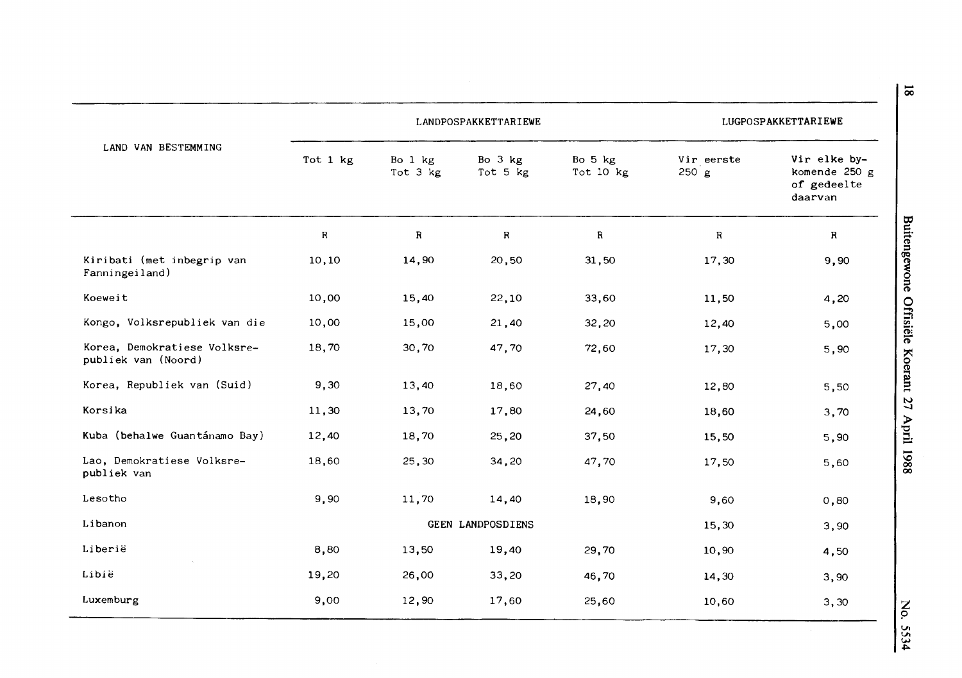|                                                     |           | LANDPOSPAKKETTARIEWE | LUGPOSPAKKETTARIEWE |                      |                         |                                                         |
|-----------------------------------------------------|-----------|----------------------|---------------------|----------------------|-------------------------|---------------------------------------------------------|
| LAND VAN BESTEMMING                                 | Tot 1 kg  | Bo 1 kg<br>Tot 3 kg  | Bo 3 kg<br>Tot 5 kg | Bo 5 kg<br>Tot 10 kg | Vir eerste<br>$250$ $g$ | Vir elke by-<br>komende 250 g<br>of gedeelte<br>daarvan |
|                                                     | ${\bf R}$ | ${\bf R}$            | $\mathbf R$         | $\, {\bf R}$         | R                       | R                                                       |
| Kiribati (met inbegrip van<br>Fanningeiland)        | 10,10     | 14,90                | 20,50               | 31,50                | 17,30                   | 9,90                                                    |
| Koeweit                                             | 10,00     | 15,40                | 22,10               | 33,60                | 11,50                   | 4,20                                                    |
| Kongo, Volksrepubliek van die                       | 10,00     | 15,00                | 21,40               | 32,20                | 12,40                   | 5,00                                                    |
| Korea, Demokratiese Volksre-<br>publiek van (Noord) | 18,70     | 30,70                | 47,70               | 72,60                | 17,30                   | 5,90                                                    |
| Korea, Republiek van (Suid)                         | 9,30      | 13,40                | 18,60               | 27,40                | 12,80                   | 5,50                                                    |
| Korsika                                             | 11,30     | 13,70                | 17,80               | 24,60                | 18,60                   | 3,70                                                    |
| Kuba (behalwe Guantánamo Bay)                       | 12,40     | 18,70                | 25,20               | 37,50                | 15,50                   | 5,90                                                    |
| Lao, Demokratiese Volksre-<br>publiek van           | 18,60     | 25,30                | 34,20               | 47,70                | 17,50                   | 5,60                                                    |
| Lesotho                                             | 9,90      | 11,70                | 14,40               | 18,90                | 9,60                    | 0,80                                                    |
| Libanon                                             |           |                      | GEEN LANDPOSDIENS   |                      | 15,30                   | 3,90                                                    |
| Liberië                                             | 8,80      | 13,50                | 19,40               | 29,70                | 10,90                   | 4,50                                                    |
| Libië                                               | 19,20     | 26,00                | 33,20               | 46,70                | 14,30                   | 3,90                                                    |
| Luxemburg                                           | 9,00      | 12,90                | 17,60               | 25,60                | 10,60                   | 3,30                                                    |

 $\tilde{\circ}$ **VI VI w**  ~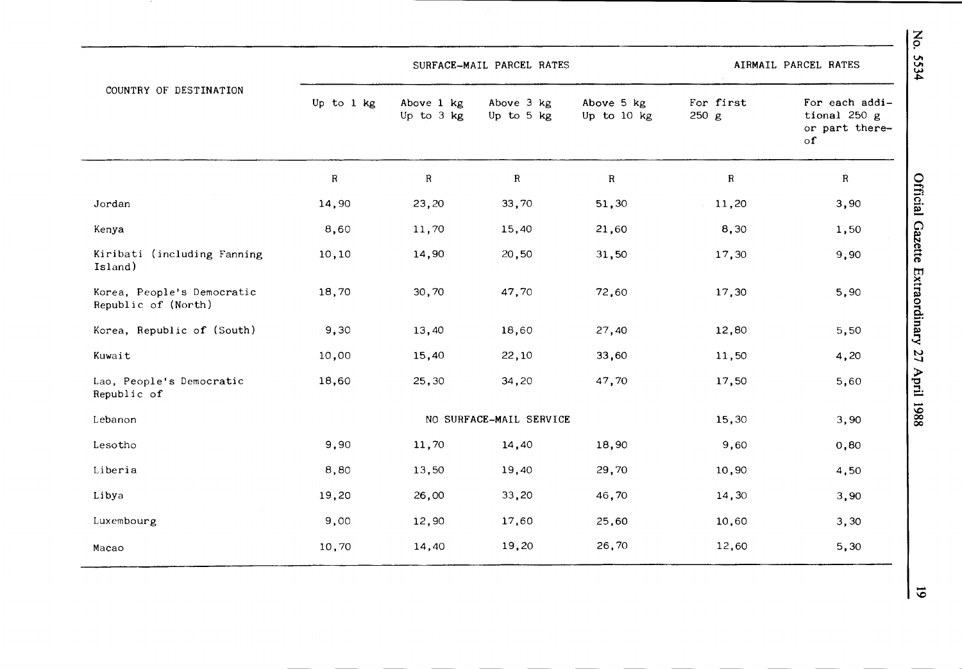|                                                   |            | SURFACE-MAIL PARCEL RATES |                          | AIRMAIL PARCEL RATES      |                    |                                                        |
|---------------------------------------------------|------------|---------------------------|--------------------------|---------------------------|--------------------|--------------------------------------------------------|
| COUNTRY OF DESTINATION                            | Up to 1 kg | Above 1 kg<br>Up to 3 kg  | Above 3 kg<br>Up to 5 kg | Above 5 kg<br>Up to 10 kg | For first<br>250 g | For each addi-<br>tional 250 g<br>or part there-<br>of |
|                                                   | ${\bf R}$  | $\mathbf R$               | $\mathbf R$              | ${\bf R}$                 | $\mathbf R$        | R                                                      |
| Jordan                                            | 14,90      | 23,20                     | 33,70                    | 51,30                     | 11,20              | 3,90                                                   |
| Kenya                                             | 8,60       | 11,70                     | 15,40                    | 21,60                     | 8,30               | 1,50                                                   |
| Kiribati (including Fanning<br>Island)            | 10,10      | 14,90                     | 20,50                    | 31,50                     | 17,30              | 9,90                                                   |
| Korea, People's Democratic<br>Republic of (North) | 18,70      | 30,70                     | 47,70                    | 72,60                     | 17,30              | 5,90                                                   |
| Korea, Republic of (South)                        | 9,30       | 13,40                     | 18,60                    | 27,40                     | 12,80              | 5,50                                                   |
| Kuwait                                            | 10,00      | 15,40                     | 22,10                    | 33,60                     | 11,50              | 4,20                                                   |
| Lao, People's Democratic<br>Republic of           | 18,60      | 25,30                     | 34,20                    | 47,70                     | 17,50              | 5,60                                                   |
| Lebanon                                           |            |                           | NO SURFACE-MAIL SERVICE  |                           | 15,30              | 3,90                                                   |
| Lesotho                                           | 9,90       | 11,70                     | 14,40                    | 18,90                     | 9,60               | 0,80                                                   |
| Liberia                                           | 8,80       | 13,50                     | 19,40                    | 29,70                     | 10,90              | 4,50                                                   |
| Libya                                             | 19,20      | 26,00                     | 33,20                    | 46,70                     | 14,30              | 3,90                                                   |
| Luxembourg                                        | 9,00       | 12,90                     | 17,60                    | 25,60                     | 10,60              | 3,30                                                   |
| Macao                                             | 10,70      | 14,40                     | 19,20                    | 26,70                     | 12,60              | 5,30                                                   |

*'°* -

**z**  p **VI**   $34$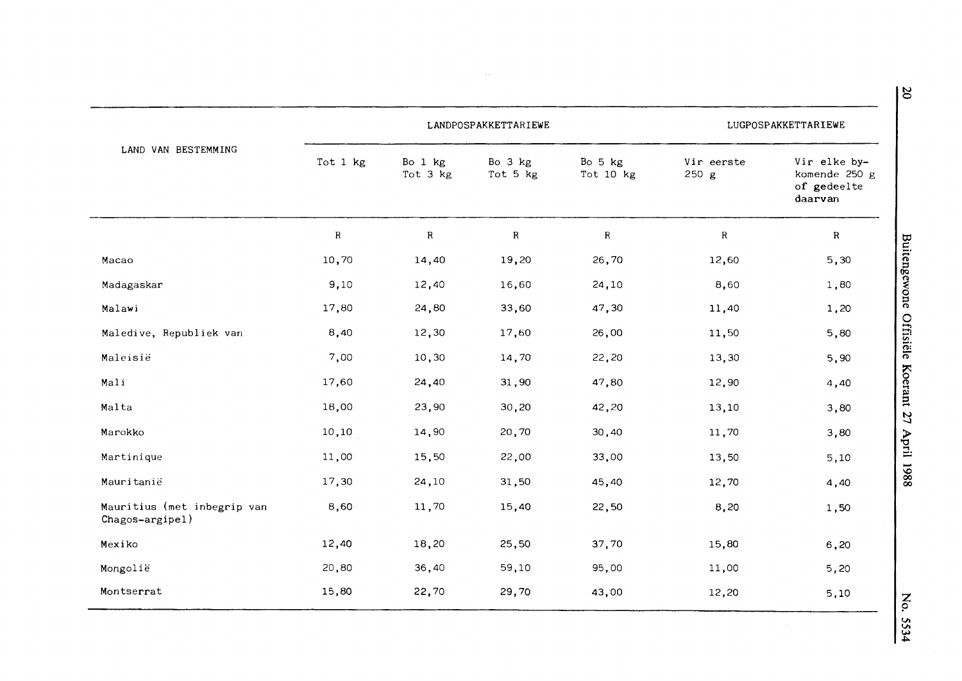|                                                |           | LANDPOSPAKKETTARIEWE |                     | LUGPOSPAKKETTARIEWE  |                     |                                                         |
|------------------------------------------------|-----------|----------------------|---------------------|----------------------|---------------------|---------------------------------------------------------|
| LAND VAN BESTEMMING                            | Tot 1 kg  | Bo 1 kg<br>Tot 3 kg  | Bo 3 kg<br>Tot 5 kg | Bo 5 kg<br>Tot 10 kg | Vir eerste<br>250 g | Vir elke by-<br>komende 250 g<br>of gedeelte<br>daarvan |
|                                                | ${\sf R}$ | ${\bf R}$            | $\mathbf R$         | $\mathbf R$          | ${\sf R}$           | $\mathbf R$                                             |
| Macao                                          | 10,70     | 14,40                | 19,20               | 26,70                | 12,60               | 5,30                                                    |
| Madagaskar                                     | 9,10      | 12,40                | 16,60               | 24,10                | 8,60                | 1,80                                                    |
| Malawi                                         | 17,80     | 24,80                | 33,60               | 47,30                | 11,40               | 1,20                                                    |
| Maledive, Republiek van                        | 8,40      | 12,30                | 17,60               | 26,00                | 11,50               | 5,80                                                    |
| Maleisië                                       | 7,00      | 10,30                | 14,70               | 22,20                | 13,30               | 5,90                                                    |
| Mali                                           | 17,60     | 24,40                | 31,90               | 47,80                | 12,90               | 4,40                                                    |
| Malta                                          | 18,00     | 23,90                | 30,20               | 42,20                | 13,10               | 3,80                                                    |
| Marokko                                        | 10, 10    | 14,90                | 20,70               | 30,40                | 11,70               | 3,80                                                    |
| Martinique                                     | 11,00     | 15,50                | 22,00               | 33,00                | 13,50               | 5,10                                                    |
| Mauritanië                                     | 17,30     | 24,10                | 31,50               | 45,40                | 12,70               | 4,40                                                    |
| Mauritius (met inbegrip van<br>Chagos-argipel) | 8,60      | 11,70                | 15,40               | 22,50                | 8,20                | 1,50                                                    |
| Mexiko                                         | 12,40     | 18,20                | 25,50               | 37,70                | 15,80               | 6, 20                                                   |
| Mongolië                                       | 20,80     | 36,40                | 59,10               | 95,00                | 11,00               | 5,20                                                    |
| Montserrat                                     | 15,80     | 22,70                | 29,70               | 43,00                | 12,20               | 5,10                                                    |

 $\sim$ 

 $\mathcal{A}^{\mathcal{A}}$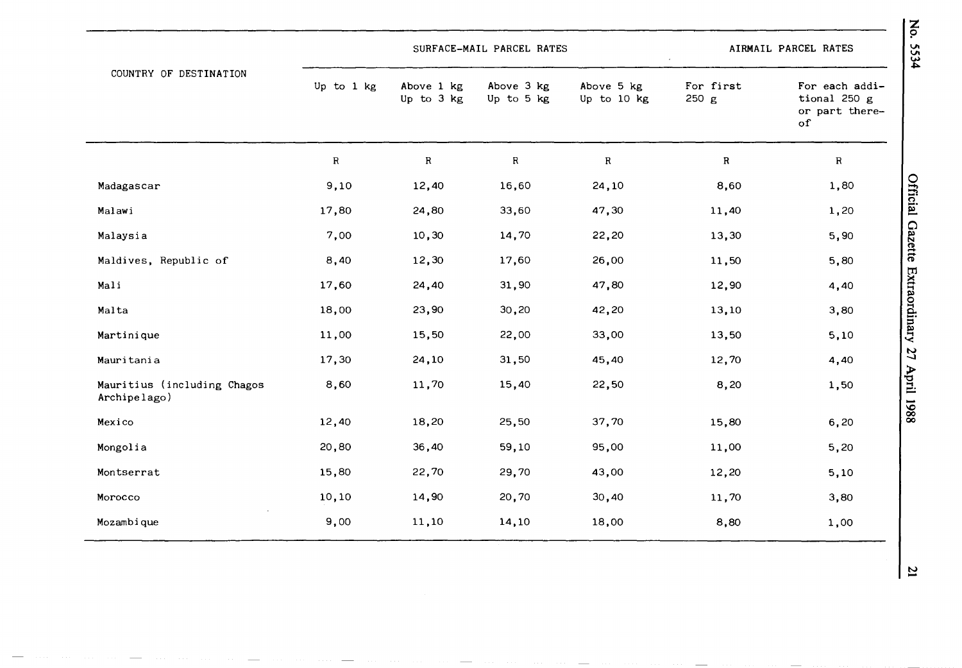|                                             |            | SURFACE-MAIL PARCEL RATES |                          | AIRMAIL PARCEL RATES      |                    |                                                        |
|---------------------------------------------|------------|---------------------------|--------------------------|---------------------------|--------------------|--------------------------------------------------------|
| COUNTRY OF DESTINATION                      | Up to 1 kg | Above 1 kg<br>Up to 3 kg  | Above 3 kg<br>Up to 5 kg | Above 5 kg<br>Up to 10 kg | For first<br>250 g | For each addi-<br>tional 250 g<br>or part there-<br>of |
|                                             | R          | ${\bf R}$                 | $\, {\bf R}$             | $\rm R$                   | ${\bf R}$          | $\mathbf R$                                            |
| Madagascar                                  | 9,10       | 12,40                     | 16,60                    | 24,10                     | 8,60               | 1,80                                                   |
| Malawi                                      | 17,80      | 24,80                     | 33,60                    | 47,30                     | 11,40              | 1,20                                                   |
| Malaysia                                    | 7,00       | 10,30                     | 14,70                    | 22,20                     | 13,30              | 5,90                                                   |
| Maldives, Republic of                       | 8,40       | 12,30                     | 17,60                    | 26,00                     | 11,50              | 5,80                                                   |
| Mali                                        | 17,60      | 24,40                     | 31,90                    | 47,80                     | 12,90              | 4,40                                                   |
| Malta                                       | 18,00      | 23,90                     | 30,20                    | 42,20                     | 13,10              | 3,80                                                   |
| Martinique                                  | 11,00      | 15,50                     | 22,00                    | 33,00                     | 13,50              | 5,10                                                   |
| Mauritania                                  | 17,30      | 24,10                     | 31,50                    | 45,40                     | 12,70              | 4,40                                                   |
| Mauritius (including Chagos<br>Archipelago) | 8,60       | 11,70                     | 15,40                    | 22,50                     | 8,20               | 1,50                                                   |
| Mexico                                      | 12,40      | 18,20                     | 25,50                    | 37,70                     | 15,80              | 6, 20                                                  |
| Mongolia                                    | 20,80      | 36,40                     | 59,10                    | 95,00                     | 11,00              | 5,20                                                   |
| Montserrat                                  | 15,80      | 22,70                     | 29,70                    | 43,00                     | 12,20              | 5,10                                                   |
| Morocco                                     | 10,10      | 14,90                     | 20,70                    | 30,40                     | 11,70              | 3,80                                                   |
| Mozambique                                  | 9,00       | 11,10                     | 14,10                    | 18,00                     | 8,80               | 1,00                                                   |

 $\mathbf{z}$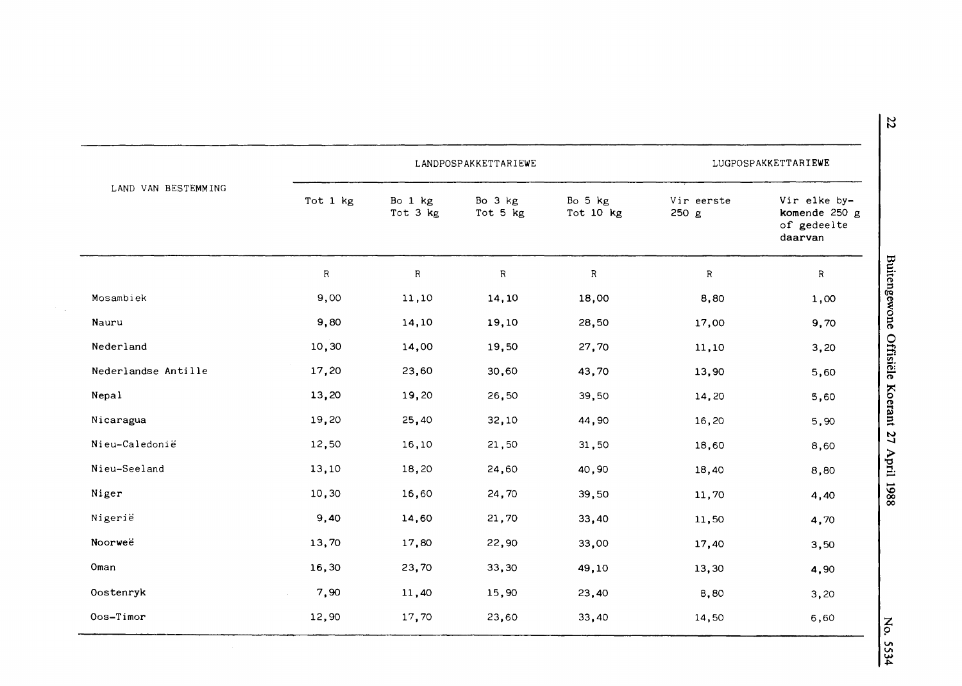|                     |             | LANDPOSPAKKETTARIEWE | LUGPOSPAKKETTARIEWE |                      |                     |                                                         |
|---------------------|-------------|----------------------|---------------------|----------------------|---------------------|---------------------------------------------------------|
| LAND VAN BESTEMMING | Tot 1 kg    | Bo 1 kg<br>Tot 3 kg  | Bo 3 kg<br>Tot 5 kg | Bo 5 kg<br>Tot 10 kg | Vir eerste<br>250 g | Vir elke by-<br>komende 250 g<br>of gedeelte<br>daarvan |
|                     | $\mathbf R$ | $\mathbf R$          | $\mathbf R$         | R                    | $\mathbb R$         | $\mathbb{R}$                                            |
| Mosambiek           | 9,00        | 11,10                | 14,10               | 18,00                | 8,80                | 1,00                                                    |
| Nauru               | 9,80        | 14,10                | 19,10               | 28,50                | 17,00               | 9,70                                                    |
| Nederland           | 10,30       | 14,00                | 19,50               | 27,70                | 11,10               | 3,20                                                    |
| Nederlandse Antille | 17,20       | 23,60                | 30,60               | 43,70                | 13,90               | 5,60                                                    |
| Nepal               | 13,20       | 19,20                | 26,50               | 39,50                | 14,20               | 5,60                                                    |
| Nicaragua           | 19,20       | 25,40                | 32,10               | 44,90                | 16,20               | 5,90                                                    |
| Nieu-Caledonië      | 12,50       | 16,10                | 21,50               | 31,50                | 18,60               | 8,60                                                    |
| Nieu-Seeland        | 13,10       | 18,20                | 24,60               | 40,90                | 18,40               | 8,80                                                    |
| Niger               | 10,30       | 16,60                | 24,70               | 39,50                | 11,70               | 4,40                                                    |
| Nigerië             | 9,40        | 14,60                | 21,70               | 33,40                | 11,50               | 4,70                                                    |
| Noorweë             | 13,70       | 17,80                | 22,90               | 33,00                | 17,40               | 3,50                                                    |
| Oman                | 16,30       | 23,70                | 33,30               | 49,10                | 13,30               | 4,90                                                    |
| Oostenryk           | 7,90        | 11,40                | 15,90               | 23,40                | 8,80                | 3,20                                                    |
| Oos-Timor           | 12,90       | 17,70                | 23,60               | 33,40                | 14,50               | 6,60                                                    |

 $\ddot{\phantom{a}}$ 

~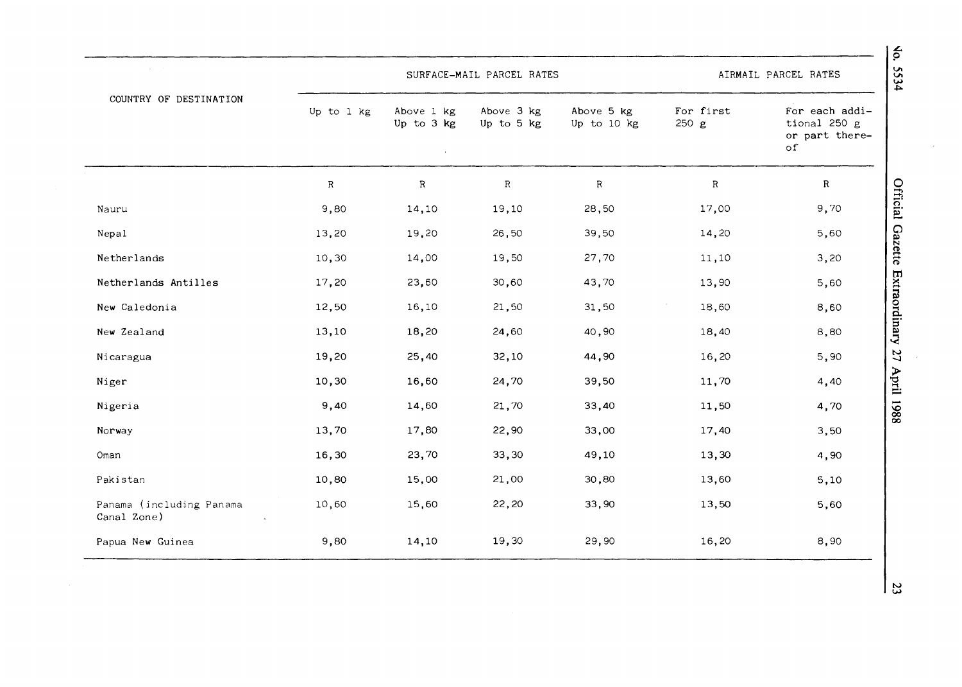|                                         |             | SURFACE-MAIL PARCEL RATES |                          | AIRMAIL PARCEL RATES      |                   |                                                        |
|-----------------------------------------|-------------|---------------------------|--------------------------|---------------------------|-------------------|--------------------------------------------------------|
| COUNTRY OF DESTINATION                  | Up to 1 kg  | Above 1 kg<br>Up to 3 kg  | Above 3 kg<br>Up to 5 kg | Above 5 kg<br>Up to 10 kg | For first<br>250g | For each addi-<br>tional 250 g<br>or part there-<br>of |
|                                         | $\mathbb R$ | ${\bf R}$                 | $\mathbf R$              | $\mathsf{R}$              | $\sf R$           | $\mathbf R$                                            |
| Nauru                                   | 9,80        | 14,10                     | 19,10                    | 28,50                     | 17,00             | 9,70                                                   |
| Nepal                                   | 13,20       | 19,20                     | 26,50                    | 39,50                     | 14,20             | 5,60                                                   |
| Netherlands                             | 10,30       | 14,00                     | 19,50                    | 27,70                     | 11,10             | 3,20                                                   |
| Netherlands Antilles                    | 17,20       | 23,60                     | 30,60                    | 43,70                     | 13,90             | 5,60                                                   |
| New Caledonia                           | 12,50       | 16,10                     | 21,50                    | 31,50                     | 18,60             | 8,60                                                   |
| New Zealand                             | 13,10       | 18,20                     | 24,60                    | 40,90                     | 18,40             | 8,80                                                   |
| Nicaragua                               | 19,20       | 25,40                     | 32,10                    | 44,90                     | 16,20             | 5,90                                                   |
| Niger                                   | 10,30       | 16,60                     | 24,70                    | 39,50                     | 11,70             | 4,40                                                   |
| Nigeria                                 | 9,40        | 14,60                     | 21,70                    | 33,40                     | 11,50             | 4,70                                                   |
| Norway                                  | 13,70       | 17,80                     | 22,90                    | 33,00                     | 17,40             | 3,50                                                   |
| Oman                                    | 16,30       | 23,70                     | 33,30                    | 49,10                     | 13,30             | 4,90                                                   |
| Pakistan                                | 10,80       | 15,00                     | 21,00                    | 30,80                     | 13,60             | 5,10                                                   |
| Panama (including Panama<br>Canal Zone) | 10,60       | 15,60                     | 22,20                    | 33,90                     | 13,50             | 5,60                                                   |
| Papua New Guinea                        | 9,80        | 14,10                     | 19,30                    | 29,90                     | 16,20             | 8,90                                                   |

Vo. 5534

Official Gazette Extraordinary 27 April 1988

 $\frac{3}{2}$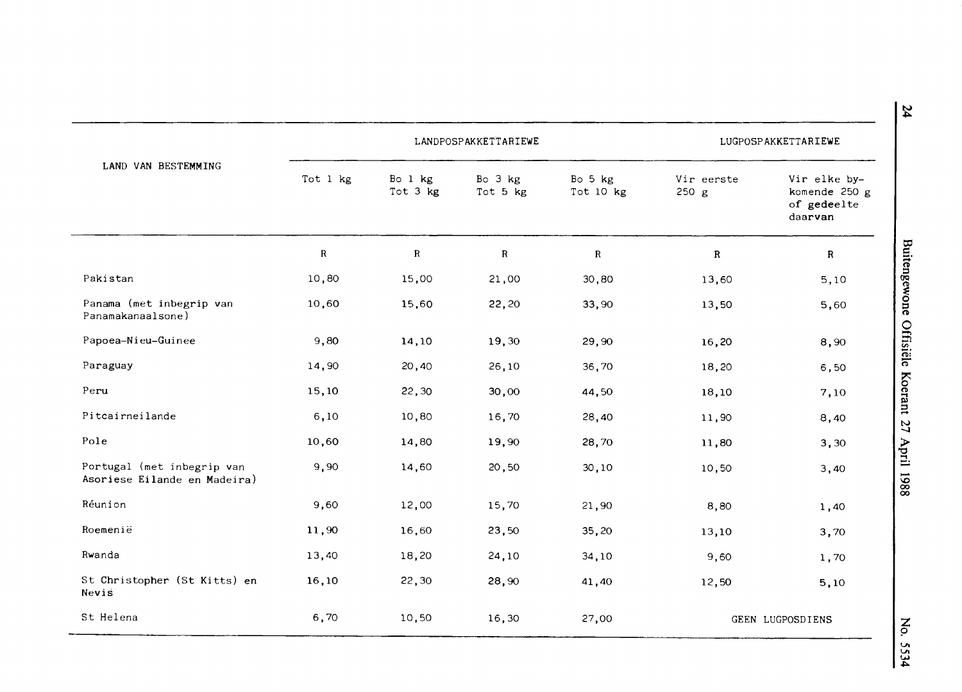|                                                            |           | LANDPOSPAKKETTARIEWE    |                     | LUGPOSPAKKETTARIEWE  |                     |                                                         |  |
|------------------------------------------------------------|-----------|-------------------------|---------------------|----------------------|---------------------|---------------------------------------------------------|--|
| LAND VAN BESTEMMING                                        | Tot 1 kg  | Bo $1$ $kg$<br>Tot 3 kg | Bo 3 kg<br>Tot 5 kg | Bo 5 kg<br>Tot 10 kg | Vir eerste<br>250 g | Vir elke by-<br>komende 250 g<br>of gedeelte<br>daarvan |  |
|                                                            | ${\bf R}$ | $\mathbf R$             | ${\bf R}$           | ${\bf R}$            | $\mathbf R$         | $\mathbb{R}$                                            |  |
| Pakistan                                                   | 10,80     | 15,00                   | 21,00               | 30,80                | 13,60               | 5,10                                                    |  |
| Panama (met inbegrip van<br>Panamakanaalsone)              | 10,60     | 15,60                   | 22,20               | 33,90                | 13,50               | 5,60                                                    |  |
| Papoea-Nieu-Guinee                                         | 9,80      | 14,10                   | 19,30               | 29,90                | 16,20               | 8,90                                                    |  |
| Paraguay                                                   | 14,90     | 20,40                   | 26,10               | 36,70                | 18,20               | 6,50                                                    |  |
| Peru                                                       | 15,10     | 22,30                   | 30,00               | 44,50                | 18,10               | 7,10                                                    |  |
| Pitcairneilande                                            | 6,10      | 10,80                   | 16,70               | 28,40                | 11,90               | 8,40                                                    |  |
| Pole                                                       | 10,60     | 14,80                   | 19,90               | 28,70                | 11,80               | 3,30                                                    |  |
| Portugal (met inbegrip van<br>Asoriese Eilande en Madeira) | 9,90      | 14,60                   | 20,50               | 30, 10               | 10,50               | 3,40                                                    |  |
| Réunion                                                    | 9,60      | 12,00                   | 15,70               | 21,90                | 8,80                | 1,40                                                    |  |
| Roemenië                                                   | 11,90     | 16,60                   | 23,50               | 35,20                | 13,10               | 3,70                                                    |  |
| Rwanda                                                     | 13,40     | 18,20                   | 24,10               | 34,10                | 9,60                | 1,70                                                    |  |
| St Christopher (St Kitts) en<br>Nevis                      | 16,10     | 22,30                   | 28,90               | 41,40                | 12,50               | 5,10                                                    |  |
| St Helena                                                  | 6,70      | 10,50                   | 16,30               | 27,00                |                     | GEEN LUGPOSDIENS                                        |  |

**N**  ~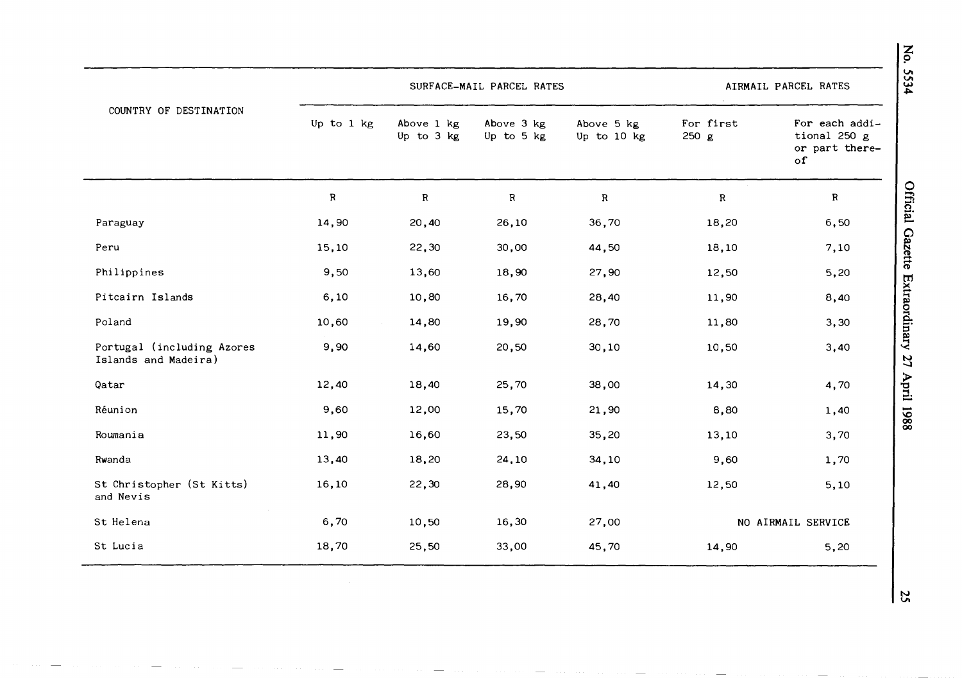| COUNTRY OF DESTINATION                             |            | SURFACE-MAIL PARCEL RATES |                          | AIRMAIL PARCEL RATES      |                    |                                                        |
|----------------------------------------------------|------------|---------------------------|--------------------------|---------------------------|--------------------|--------------------------------------------------------|
|                                                    | Up to 1 kg | Above 1 kg<br>Up to 3 kg  | Above 3 kg<br>Up to 5 kg | Above 5 kg<br>Up to 10 kg | For first<br>250 g | For each addi-<br>tional 250 g<br>or part there-<br>of |
|                                                    | ${\bf R}$  | $\mathbb{R}$              | ${\bf R}$                | $\mathbf{R}$              | $\mathbf R$        | $\mathbf{R}$                                           |
| Paraguay                                           | 14,90      | 20,40                     | 26,10                    | 36,70                     | 18,20              | 6,50                                                   |
| Peru                                               | 15,10      | 22,30                     | 30,00                    | 44,50                     | 18,10              | 7,10                                                   |
| Philippines                                        | 9,50       | 13,60                     | 18,90                    | 27,90                     | 12,50              | 5,20                                                   |
| Pitcairn Islands                                   | 6, 10      | 10,80                     | 16,70                    | 28,40                     | 11,90              | 8,40                                                   |
| Poland                                             | 10,60      | 14,80                     | 19,90                    | 28,70                     | 11,80              | 3,30                                                   |
| Portugal (including Azores<br>Islands and Madeira) | 9,90       | 14,60                     | 20,50                    | 30, 10                    | 10,50              | 3,40                                                   |
| Qatar                                              | 12,40      | 18,40                     | 25,70                    | 38,00                     | 14,30              | 4,70                                                   |
| Réunion                                            | 9,60       | 12,00                     | 15,70                    | 21,90                     | 8,80               | 1,40                                                   |
| Roumania                                           | 11,90      | 16,60                     | 23,50                    | 35,20                     | 13,10              | 3,70                                                   |
| Rwanda                                             | 13,40      | 18,20                     | 24,10                    | 34,10                     | 9,60               | 1,70                                                   |
| St Christopher (St Kitts)<br>and Nevis             | 16,10      | 22,30                     | 28,90                    | 41,40                     | 12,50              | 5,10                                                   |
| St Helena                                          | 6,70       | 10,50                     | 16,30                    | 27,00                     | NO AIRMAIL SERVICE |                                                        |
| St Lucia                                           | 18,70      | 25,50                     | 33,00                    | 45,70                     | 14,90              | 5,20                                                   |

No. 5534

**N V,**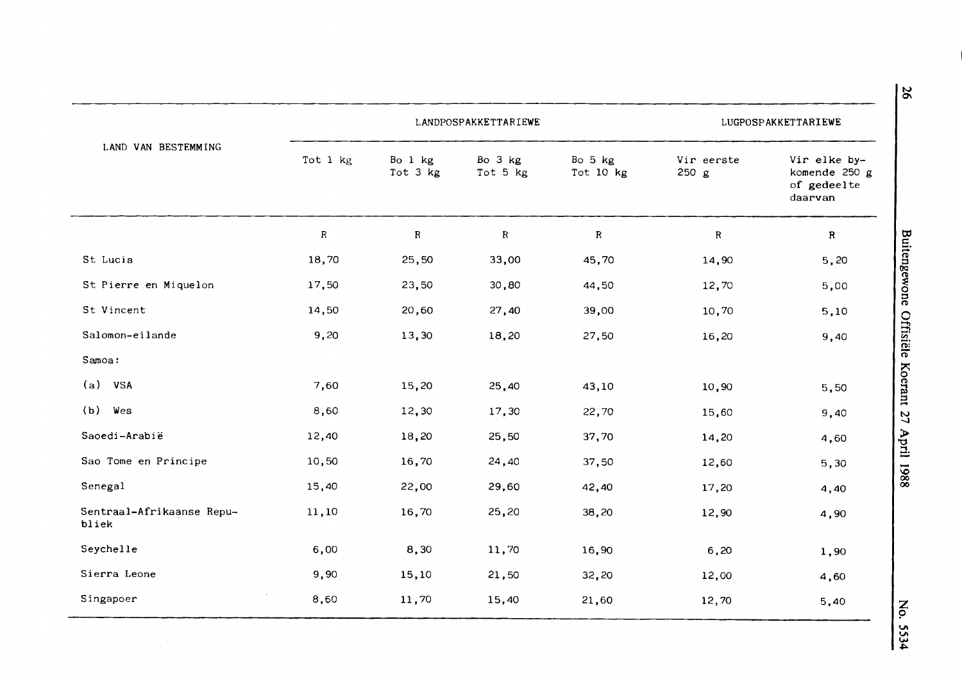|                                    |           |                     | LANDPOSPAKKETTARIEWE |                      |                     | LUGPOSPAKKETTARIEWE                                     |
|------------------------------------|-----------|---------------------|----------------------|----------------------|---------------------|---------------------------------------------------------|
| LAND VAN BESTEMMING                | Tot 1 kg  | Bo 1 kg<br>Tot 3 kg | Bo 3 kg<br>Tot 5 kg  | Bo 5 kg<br>Tot 10 kg | Vir eerste<br>250 g | Vir elke by-<br>komende 250 g<br>of gedeelte<br>daarvan |
|                                    | ${\bf R}$ | $\mathbf R$         | $\mathbf{R}$         | ${\bf R}$            | $\mathbf R$         | $\mathbf R$                                             |
| St Lucia                           | 18,70     | 25,50               | 33,00                | 45,70                | 14,90               | 5,20                                                    |
| St Pierre en Miquelon              | 17,50     | 23,50               | 30,80                | 44,50                | 12,70               | 5,00                                                    |
| St Vincent                         | 14,50     | 20,60               | 27,40                | 39,00                | 10,70               | 5,10                                                    |
| Salomon-eilande                    | 9,20      | 13,30               | 18,20                | 27,50                | 16,20               | 9,40                                                    |
| Samoa:                             |           |                     |                      |                      |                     |                                                         |
| (a)<br><b>VSA</b>                  | 7,60      | 15,20               | 25,40                | 43,10                | 10,90               | 5,50                                                    |
| (b)<br>Wes                         | 8,60      | 12,30               | 17,30                | 22,70                | 15,60               | 9,40                                                    |
| Saoedi-Arabië                      | 12,40     | 18,20               | 25,50                | 37,70                | 14,20               | 4,60                                                    |
| Sao Tome en Principe               | 10,50     | 16,70               | 24,40                | 37,50                | 12,60               | 5,30                                                    |
| Senegal                            | 15,40     | 22,00               | 29,60                | 42,40                | 17,20               | 4,40                                                    |
| Sentraal-Afrikaanse Repu-<br>bliek | 11,10     | 16,70               | 25,20                | 38,20                | 12,90               | 4,90                                                    |
| Seychelle                          | 6,00      | 8,30                | 11,70                | 16,90                | 6, 20               | 1,90                                                    |
| Sierra Leone                       | 9,90      | 15,10               | 21,50                | 32,20                | 12,00               | 4,60                                                    |
| Singapoer                          | 8,60      | 11,70               | 15,40                | 21,60                | 12,70               | 5,40                                                    |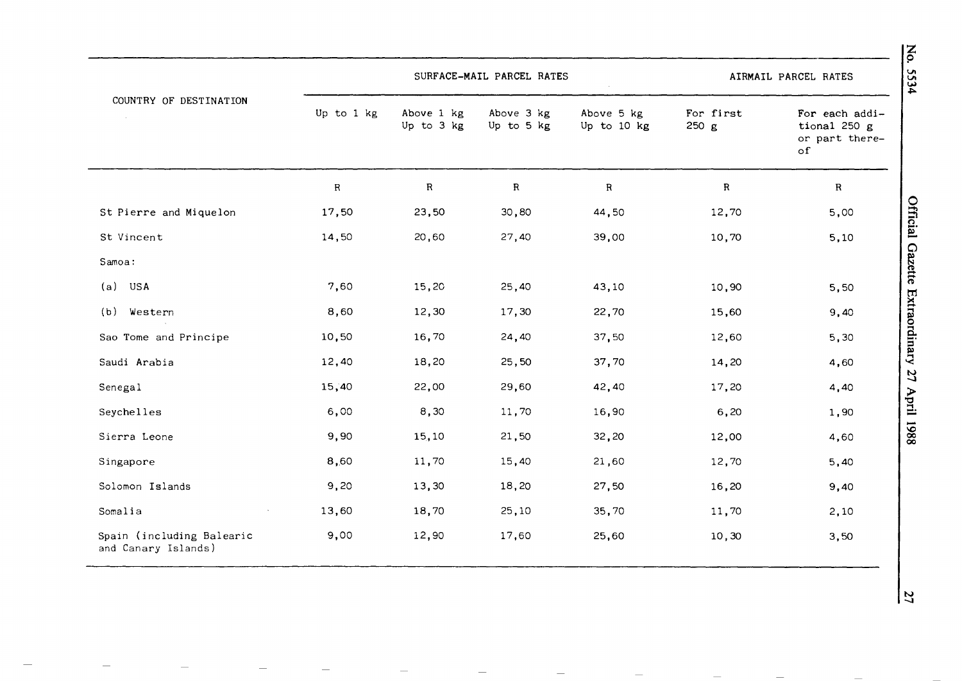|                                                  |            |                          | SURFACE-MAIL PARCEL RATES |                           |                    | AIRMAIL PARCEL RATES                                            |
|--------------------------------------------------|------------|--------------------------|---------------------------|---------------------------|--------------------|-----------------------------------------------------------------|
| COUNTRY OF DESTINATION<br>$\sim 10^7$            | Up to 1 kg | Above 1 kg<br>Up to 3 kg | Above 3 kg<br>Up to 5 kg  | Above 5 kg<br>Up to 10 kg | For first<br>250 g | For each addi-<br>tional 250 $g$<br>or part there-<br>$\circ f$ |
|                                                  | $\sf R$    | $\mathbf R$              | $\mathbf R$               | $\mathbf R$               | $\mathbf R$        | $\mathbf{R}$                                                    |
| St Pierre and Miquelon                           | 17,50      | 23,50                    | 30,80                     | 44,50                     | 12,70              | 5,00                                                            |
| St Vincent                                       | 14,50      | 20,60                    | 27,40                     | 39,00                     | 10,70              | 5,10                                                            |
| Samoa:                                           |            |                          |                           |                           |                    |                                                                 |
| (a)<br>USA                                       | 7,60       | 15,20                    | 25,40                     | 43,10                     | 10,90              | 5,50                                                            |
| (b)<br>Western                                   | 8,60       | 12,30                    | 17,30                     | 22,70                     | 15,60              | 9,40                                                            |
| Sao Tome and Principe                            | 10,50      | 16,70                    | 24,40                     | 37,50                     | 12,60              | 5,30                                                            |
| Saudi Arabia                                     | 12,40      | 18,20                    | 25,50                     | 37,70                     | 14,20              | 4,60                                                            |
| Senegal                                          | 15,40      | 22,00                    | 29,60                     | 42,40                     | 17,20              | 4,40                                                            |
| Seychelles                                       | 6,00       | 8,30                     | 11,70                     | 16,90                     | 6, 20              | 1,90                                                            |
| Sierra Leone                                     | 9,90       | 15,10                    | 21,50                     | 32,20                     | 12,00              | 4,60                                                            |
| Singapore                                        | 8,60       | 11,70                    | 15,40                     | 21,60                     | 12,70              | 5,40                                                            |
| Solomon Islands                                  | 9,20       | 13,30                    | 18,20                     | 27,50                     | 16,20              | 9,40                                                            |
| Somalia                                          | 13,60      | 18,70                    | 25,10                     | 35,70                     | 11,70              | 2,10                                                            |
| Spain (including Balearic<br>and Canary Islands) | 9,00       | 12,90                    | 17,60                     | 25,60                     | 10, 30             | 3,50                                                            |

**Official G**  $z$ ette **tn**  <sup>~</sup>**"'1**  ~ **0 "'1 0. s·**  ~ **"'1**  '< **N -...J**  > **"Cl ::J.**  il liq -**\0 (X) (X)** 

**z 9** 

**VI VI w .i,.** 

**N**  --.J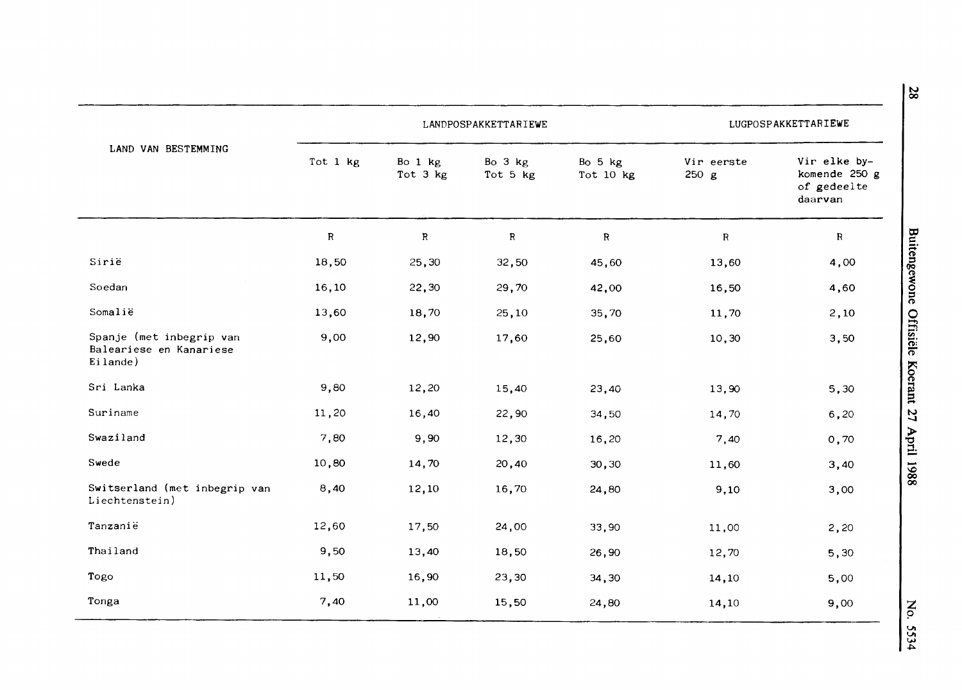|                                                                 | LANDPOSPAKKETTARIEWE |                     |                     |                      | LUGPOSPAKKETTARIEWE |                                                         |  |
|-----------------------------------------------------------------|----------------------|---------------------|---------------------|----------------------|---------------------|---------------------------------------------------------|--|
| LAND VAN BESTEMMING                                             | Tot 1 kg             | Bo 1 kg<br>Tot 3 kg | Bo 3 kg<br>Tot 5 kg | Bo 5 kg<br>Tot 10 kg | Vir eerste<br>250 g | Vir elke by-<br>komende 250 g<br>of gedeelte<br>daarvan |  |
|                                                                 | ${\bf R}$            | $\, {\bf R}$        | $\mathbf R$         | ${\bf R}$            | $\mathbf R$         | $\mathbf R$                                             |  |
| Sirië                                                           | 18,50                | 25,30               | 32,50               | 45,60                | 13,60               | 4,00                                                    |  |
| Soedan                                                          | 16,10                | 22,30               | 29,70               | 42,00                | 16,50               | 4,60                                                    |  |
| Somalië                                                         | 13,60                | 18,70               | 25,10               | 35,70                | 11,70               | 2,10                                                    |  |
| Spanje (met inbegrip van<br>Baleariese en Kanariese<br>Eilande) | 9,00                 | 12,90               | 17,60               | 25,60                | 10,30               | 3,50                                                    |  |
| Sri Lanka                                                       | 9,80                 | 12,20               | 15,40               | 23,40                | 13,90               | 5,30                                                    |  |
| Suriname                                                        | 11,20                | 16,40               | 22,90               | 34,50                | 14,70               | 6, 20                                                   |  |
| Swaziland                                                       | 7,80                 | 9,90                | 12,30               | 16,20                | 7,40                | 0,70                                                    |  |
| Swede                                                           | 10,80                | 14,70               | 20,40               | 30,30                | 11,60               | 3,40                                                    |  |
| Switserland (met inbegrip van<br>Liechtenstein)                 | 8,40                 | 12,10               | 16,70               | 24,80                | 9,10                | 3,00                                                    |  |
| Tanzanië                                                        | 12,60                | 17,50               | 24,00               | 33,90                | 11,00               | 2,20                                                    |  |
| Thailand                                                        | 9,50                 | 13,40               | 18,50               | 26,90                | 12,70               | 5,30                                                    |  |
| Togo                                                            | 11,50                | 16,90               | 23,30               | 34,30                | 14,10               | 5,00                                                    |  |
| Tonga                                                           | 7,40                 | 11,00               | 15,50               | 24,80                | 14,10               | 9,00                                                    |  |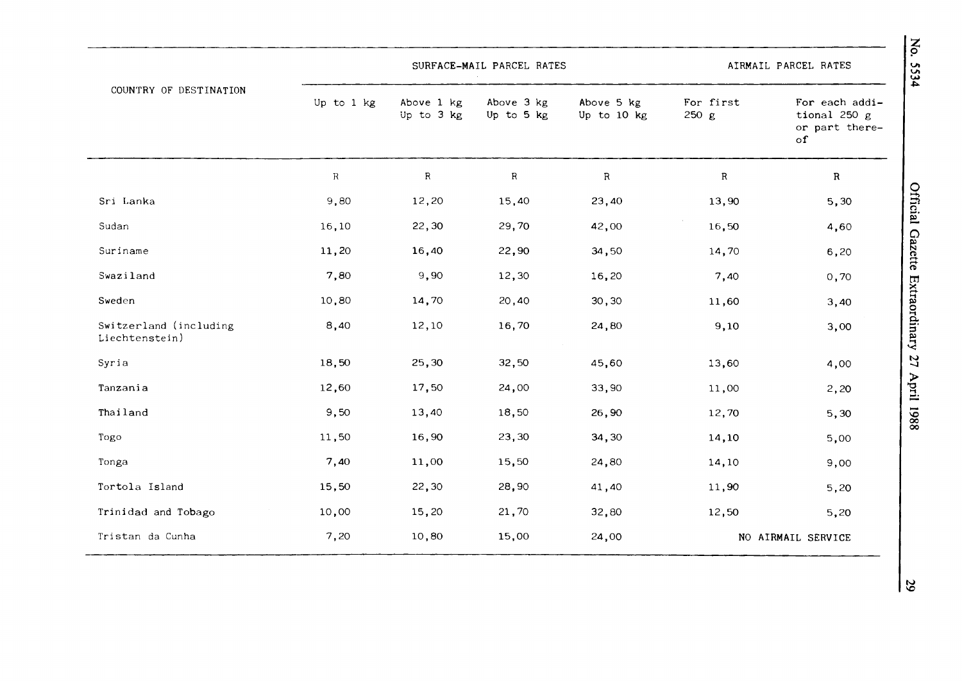| COUNTRY OF DESTINATION                   |             |                          | SURFACE-MAIL PARCEL RATES |                           |                    | AIRMAIL PARCEL RATES                                            |
|------------------------------------------|-------------|--------------------------|---------------------------|---------------------------|--------------------|-----------------------------------------------------------------|
|                                          | Up to 1 kg  | Above 1 kg<br>Up to 3 kg | Above 3 kg<br>Up to 5 kg  | Above 5 kg<br>Up to 10 kg | For first<br>250 g | For each addi-<br>tional 250 $g$<br>or part there-<br>$\circ$ f |
|                                          | $\mathbf R$ | $\mathbb{R}$             | ${\bf R}$                 | $\, {\bf R}$              | R                  | $\mathbf R$                                                     |
| Sri Lanka                                | 9,80        | 12,20                    | 15,40                     | 23,40                     | 13,90              | 5,30                                                            |
| Sudan                                    | 16,10       | 22,30                    | 29,70                     | 42,00                     | 16,50              | 4,60                                                            |
| Suriname                                 | 11,20       | 16,40                    | 22,90                     | 34,50                     | 14,70              | 6,20                                                            |
| Swaziland                                | 7,80        | 9,90                     | 12,30                     | 16,20                     | 7,40               | 0,70                                                            |
| Sweden                                   | 10,80       | 14,70                    | 20,40                     | 30, 30                    | 11,60              | 3,40                                                            |
| Switzerland (including<br>Liechtenstein) | 8,40        | 12,10                    | 16,70                     | 24,80                     | 9,10               | 3,00                                                            |
| Syria                                    | 18,50       | 25,30                    | 32,50                     | 45,60                     | 13,60              | 4,00                                                            |
| Tanzania                                 | 12,60       | 17,50                    | 24,00                     | 33,90                     | 11,00              | 2,20                                                            |
| Thailand                                 | 9,50        | 13,40                    | 18,50                     | 26,90                     | 12,70              | 5,30                                                            |
| Togo                                     | 11,50       | 16,90                    | 23,30                     | 34,30                     | 14,10              | 5,00                                                            |
| Tonga                                    | 7,40        | 11,00                    | 15,50                     | 24,80                     | 14,10              | 9,00                                                            |
| Tortola Island                           | 15,50       | 22,30                    | 28,90                     | 41,40                     | 11,90              | 5,20                                                            |
| Trinidad and Tobago                      | 10,00       | 15,20                    | 21,70                     | 32,80                     | 12,50              | 5,20                                                            |
| Tristan da Cunha                         | 7,20        | 10,80                    | 15,00                     | 24,00                     |                    | NO AIRMAIL SERVICE                                              |

**z**  p **V, V,**  ~ ~

**N l,C)**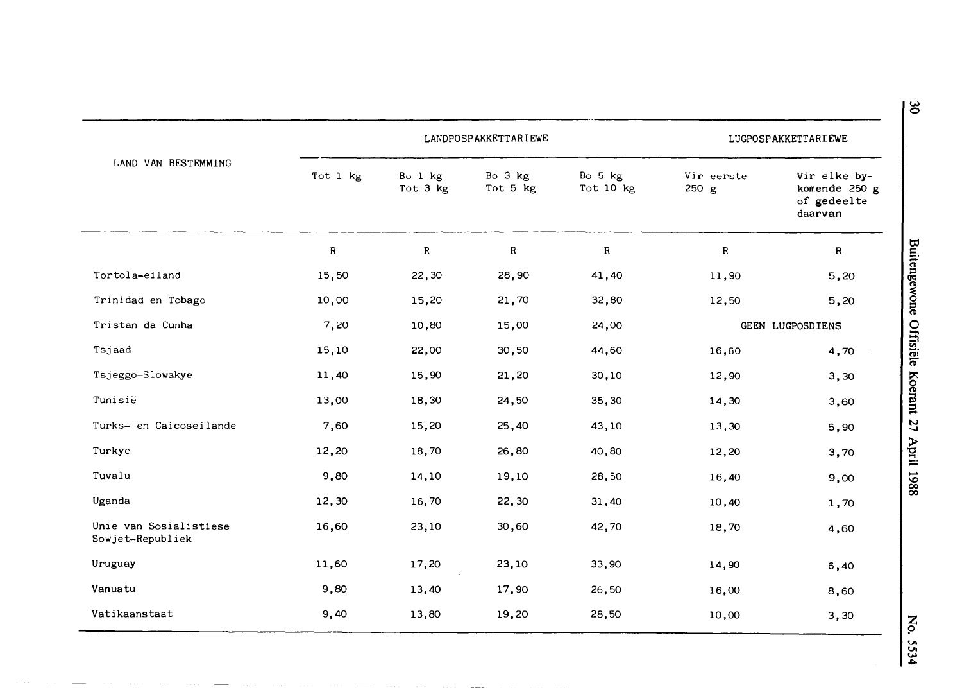|                                            |          | LANDPOSPAKKETTARIEWE |                     | LUGPOSPAKKETTARIEWE  |                     |                                                         |
|--------------------------------------------|----------|----------------------|---------------------|----------------------|---------------------|---------------------------------------------------------|
| LAND VAN BESTEMMING                        | Tot 1 kg | Bo 1 kg<br>Tot 3 kg  | Bo 3 kg<br>Tot 5 kg | Bo 5 kg<br>Tot 10 kg | Vir eerste<br>250 g | Vir elke by-<br>komende 250 g<br>of gedeelte<br>daarvan |
|                                            | R        | R                    | ${\bf R}$           | ${\bf R}$            | $\mathbf R$         | $\mathbf R$                                             |
| Tortola-eiland                             | 15,50    | 22,30                | 28,90               | 41,40                | 11,90               | 5,20                                                    |
| Trinidad en Tobago                         | 10,00    | 15,20                | 21,70               | 32,80                | 12,50               | 5,20                                                    |
| Tristan da Cunha                           | 7,20     | 10,80                | 15,00               | 24,00                | GEEN LUGPOSDIENS    |                                                         |
| Tsjaad                                     | 15,10    | 22,00                | 30,50               | 44,60                | 16,60               | 4,70                                                    |
| Tsjeggo-Slowakye                           | 11,40    | 15,90                | 21,20               | 30,10                | 12,90               | 3,30                                                    |
| Tunisië                                    | 13,00    | 18,30                | 24,50               | 35,30                | 14,30               | 3,60                                                    |
| Turks- en Caicoseilande                    | 7,60     | 15,20                | 25,40               | 43,10                | 13,30               | 5,90                                                    |
| Turkye                                     | 12,20    | 18,70                | 26,80               | 40,80                | 12,20               | 3,70                                                    |
| Tuvalu                                     | 9,80     | 14,10                | 19,10               | 28,50                | 16,40               | 9,00                                                    |
| Uganda                                     | 12,30    | 16,70                | 22,30               | 31,40                | 10,40               | 1,70                                                    |
| Unie van Sosialistiese<br>Sowjet-Republiek | 16,60    | 23,10                | 30,60               | 42,70                | 18,70               | 4,60                                                    |
| Uruguay                                    | 11,60    | 17,20                | 23,10               | 33,90                | 14,90               | 6,40                                                    |
| Vanuatu                                    | 9,80     | 13,40                | 17,90               | 26,50                | 16,00               | 8,60                                                    |
| Vatikaanstaat                              | 9,40     | 13,80                | 19,20               | 28,50                | 10,00               | 3,30                                                    |

 $\overline{\phantom{a}}$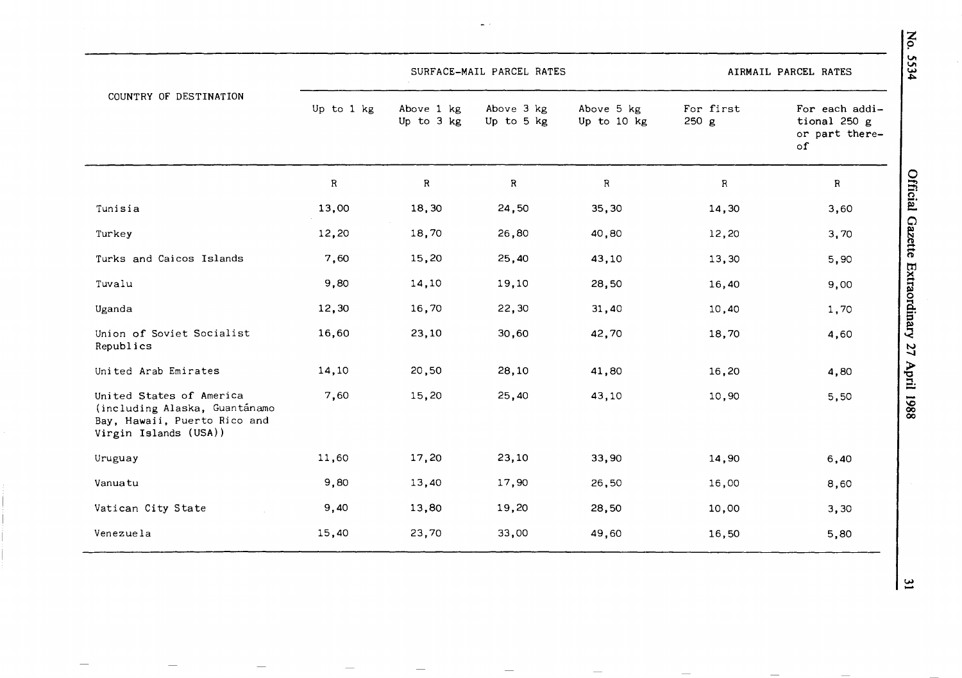|                                                                                                                    |            |                          | SURFACE-MAIL PARCEL RATES |                           |                    | 534<br>AIRMAIL PARCEL RATES                            |
|--------------------------------------------------------------------------------------------------------------------|------------|--------------------------|---------------------------|---------------------------|--------------------|--------------------------------------------------------|
| COUNTRY OF DESTINATION                                                                                             | Up to 1 kg | Above 1 kg<br>Up to 3 kg | Above 3 kg<br>Up to 5 kg  | Above 5 kg<br>Up to 10 kg | For first<br>250 g | For each addi-<br>tional 250 g<br>or part there-<br>of |
|                                                                                                                    | ${\bf R}$  | ${\bf R}$                | $\, {\bf R}$              | $\mathsf R$               | ${\sf R}$          | Official Gazette Extraordinary<br>$\, {\bf R}$         |
| Tunisia                                                                                                            | 13,00      | 18,30                    | 24,50                     | 35,30                     | 14,30              | 3,60                                                   |
| Turkey                                                                                                             | 12,20      | 18,70                    | 26,80                     | 40,80                     | 12,20              | 3,70                                                   |
| Turks and Caicos Islands                                                                                           | 7,60       | 15,20                    | 25,40                     | 43,10                     | 13,30              | 5,90                                                   |
| Tuvalu                                                                                                             | 9,80       | 14,10                    | 19,10                     | 28,50                     | 16,40              | 9,00                                                   |
| Uganda                                                                                                             | 12,30      | 16,70                    | 22,30                     | 31,40                     | 10,40              | 1,70                                                   |
| Union of Soviet Socialist<br>Republics                                                                             | 16,60      | 23,10                    | 30,60                     | 42,70                     | 18,70              | 4,60<br>$\overline{27}$                                |
| United Arab Emirates                                                                                               | 14,10      | 20,50                    | 28,10                     | 41,80                     | 16,20              | 4,80                                                   |
| United States of America<br>(including Alaska, Guantánamo<br>Bay, Hawaii, Puerto Rico and<br>Virgin Islands (USA)) | 7,60       | 15,20                    | 25,40                     | 43,10                     | 10,90              | April 1988<br>5,50                                     |
| Uruguay                                                                                                            | 11,60      | 17,20                    | 23,10                     | 33,90                     | 14,90              | 6,40                                                   |
| Vanuatu                                                                                                            | 9,80       | 13,40                    | 17,90                     | 26,50                     | 16,00              | 8,60                                                   |
| Vatican City State                                                                                                 | 9,40       | 13,80                    | 19,20                     | 28,50                     | 10,00              | 3,30                                                   |
| Venezuela                                                                                                          | 15,40      | 23,70                    | 33,00                     | 49,60                     | 16,50              | 5,80                                                   |

 $\omega_{\rm c}$  .

z *9*  **V, V,** 

 $\overline{4}$ 

ن |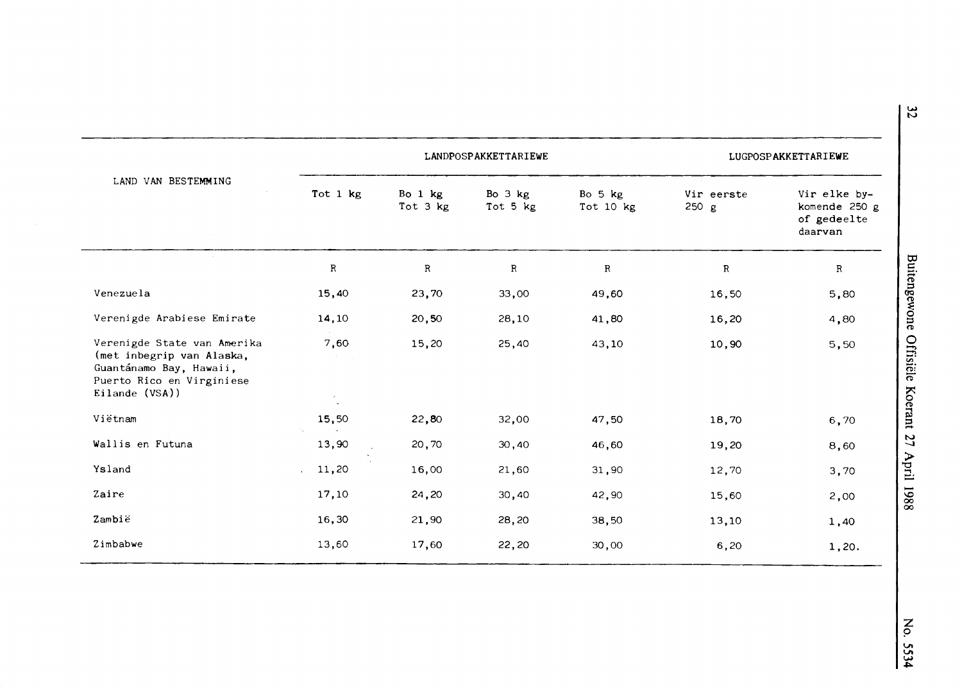| LAND VAN BESTEMMING                                                                                                                |                                | LANDPOSPAKKETTARIEWE  |                     |                      |                     | LUGPOSPAKKETTARIEWE                                     |  |  |
|------------------------------------------------------------------------------------------------------------------------------------|--------------------------------|-----------------------|---------------------|----------------------|---------------------|---------------------------------------------------------|--|--|
|                                                                                                                                    | Tot 1 kg                       | Bo $1$ kg<br>Tot 3 kg | Bo 3 kg<br>Tot 5 kg | Bo 5 kg<br>Tot 10 kg | Vir eerste<br>250 g | Vir elke by-<br>komende 250 g<br>of gedeelte<br>daarvan |  |  |
|                                                                                                                                    | $\, {\bf R}$                   | $\mathbb{R}$          | $\, {\bf R}$        | $\mathbf R$          | $\mathbf R$         | $\mathbf R$                                             |  |  |
| Venezuela                                                                                                                          | 15,40                          | 23,70                 | 33,00               | 49,60                | 16,50               | 5,80                                                    |  |  |
| Verenigde Arabiese Emirate                                                                                                         | 14,10                          | 20,50                 | 28,10               | 41,80                | 16,20               | 4,80                                                    |  |  |
| Verenigde State van Amerika<br>(met inbegrip van Alaska,<br>Guantánamo Bay, Hawaii,<br>Puerto Rico en Virginiese<br>Eilande (VSA)) | 7,60<br>$\mathcal{I}_{\omega}$ | 15,20                 | 25,40               | 43,10                | 10,90               | 5,50                                                    |  |  |
| Vietnam                                                                                                                            | 15,50                          | 22,80                 | 32,00               | 47,50                | 18,70               | 6,70                                                    |  |  |
| Wallis en Futuna                                                                                                                   | 13,90                          | 20,70                 | 30,40               | 46,60                | 19,20               | 8,60                                                    |  |  |
| Ysland                                                                                                                             | 11,20                          | 16,00                 | 21,60               | 31,90                | 12,70               | 3,70                                                    |  |  |
| Zaire                                                                                                                              | 17,10                          | 24,20                 | 30,40               | 42,90                | 15,60               | 2,00                                                    |  |  |
| Zambië                                                                                                                             | 16,30                          | 21,90                 | 28,20               | 38,50                | 13,10               | 1,40                                                    |  |  |
| Zimbabwe                                                                                                                           | 13,60                          | 17,60                 | 22,20               | 30,00                | 6,20                | 1,20.                                                   |  |  |

**w N**